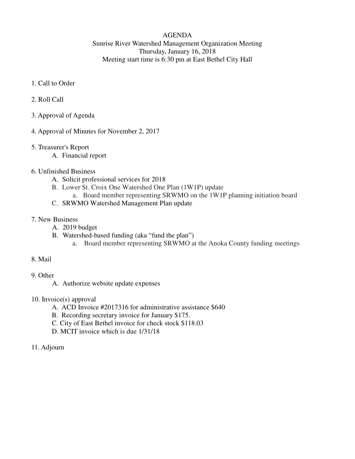### AGENDA Sunrise River Watershed Management Organization Meeting Thursday, January 16, 2018 Meeting start time is 6:30 pm at East Bethel City Hall

- 1. Call to Order
- 2. Roll Call
- 3. Approval of Agenda
- 4. Approval of Minutes for November 2, 2017
- 5. Treasurer's Report
	- A. Financial report
- 6. Unfinished Business
	- A. Solicit professional services for 2018
	- B. Lower St. Croix One Watershed One Plan (1W1P) update
		- a. Board member representing SRWMO on the 1W1P planning initiation board
	- C. SRWMO Watershed Management Plan update
- 7. New Business
	- A. 2019 budget
	- B. Watershed-based funding (aka "fund the plan")
		- a. Board member representing SRWMO at the Anoka County funding meetings
- 8. Mail
- 9. Other
	- A. Authorize website update expenses
- 10. Invoice(s) approval
	- A. ACD Invoice #2017316 for administrative assistance \$640
	- B. Recording secretary invoice for January \$175.
	- C. City of East Bethel invoice for check stock \$118.03
	- D. MCIT invoice which is due 1/31/18
- 11. Adjourn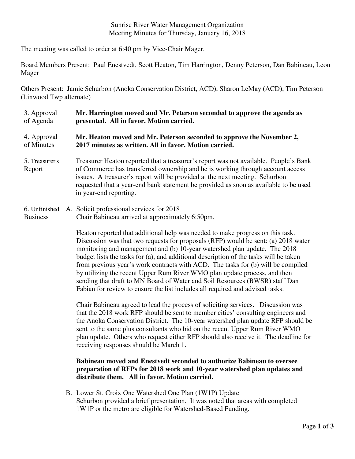#### Sunrise River Water Management Organization Meeting Minutes for Thursday, January 16, 2018

The meeting was called to order at 6:40 pm by Vice-Chair Mager.

Board Members Present: Paul Enestvedt, Scott Heaton, Tim Harrington, Denny Peterson, Dan Babineau, Leon Mager

Others Present: Jamie Schurbon (Anoka Conservation District, ACD), Sharon LeMay (ACD), Tim Peterson (Linwood Twp alternate)

3. Approval of Agenda 4. Approval of Minutes 5. Treasurer's Report **Mr. Harrington moved and Mr. Peterson seconded to approve the agenda as presented. All in favor. Motion carried. Mr. Heaton moved and Mr. Peterson seconded to approve the November 2, 2017 minutes as written. All in favor. Motion carried.**  Treasurer Heaton reported that a treasurer's report was not available. People's Bank of Commerce has transferred ownership and he is working through account access issues. A treasurer's report will be provided at the next meeting. Schurbon requested that a year-end bank statement be provided as soon as available to be used in year-end reporting.

#### 6. Unfinished A. Solicit professional services for 2018 Business Chair Babineau arrived at approximately 6:50pm.

Heaton reported that additional help was needed to make progress on this task. Discussion was that two requests for proposals (RFP) would be sent: (a) 2018 water monitoring and management and (b) 10-year watershed plan update. The 2018 budget lists the tasks for (a), and additional description of the tasks will be taken from previous year's work contracts with ACD. The tasks for (b) will be compiled by utilizing the recent Upper Rum River WMO plan update process, and then sending that draft to MN Board of Water and Soil Resources (BWSR) staff Dan Fabian for review to ensure the list includes all required and advised tasks.

Chair Babineau agreed to lead the process of soliciting services. Discussion was that the 2018 work RFP should be sent to member cities' consulting engineers and the Anoka Conservation District. The 10-year watershed plan update RFP should be sent to the same plus consultants who bid on the recent Upper Rum River WMO plan update. Others who request either RFP should also receive it. The deadline for receiving responses should be March 1.

## **Babineau moved and Enestvedt seconded to authorize Babineau to oversee preparation of RFPs for 2018 work and 10-year watershed plan updates and distribute them. All in favor. Motion carried.**

B. Lower St. Croix One Watershed One Plan (1W1P) Update Schurbon provided a brief presentation. It was noted that areas with completed 1W1P or the metro are eligible for Watershed-Based Funding.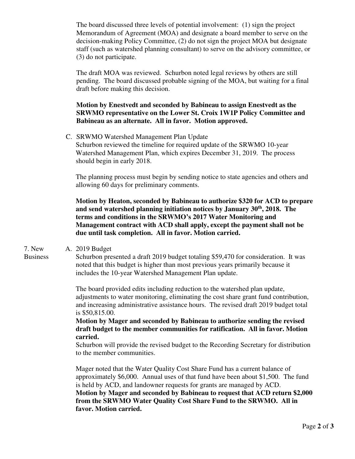The board discussed three levels of potential involvement: (1) sign the project Memorandum of Agreement (MOA) and designate a board member to serve on the decision-making Policy Committee, (2) do not sign the project MOA but designate staff (such as watershed planning consultant) to serve on the advisory committee, or (3) do not participate.

The draft MOA was reviewed. Schurbon noted legal reviews by others are still pending. The board discussed probable signing of the MOA, but waiting for a final draft before making this decision.

**Motion by Enestvedt and seconded by Babineau to assign Enestvedt as the SRWMO representative on the Lower St. Croix 1W1P Policy Committee and Babineau as an alternate. All in favor. Motion approved.** 

C. SRWMO Watershed Management Plan Update Schurbon reviewed the timeline for required update of the SRWMO 10-year Watershed Management Plan, which expires December 31, 2019. The process should begin in early 2018.

The planning process must begin by sending notice to state agencies and others and allowing 60 days for preliminary comments.

**Motion by Heaton, seconded by Babineau to authorize \$320 for ACD to prepare and send watershed planning initiation notices by January 30th, 2018. The terms and conditions in the SRWMO's 2017 Water Monitoring and Management contract with ACD shall apply, except the payment shall not be due until task completion. All in favor. Motion carried.**

7. New Business A. 2019 Budget

Schurbon presented a draft 2019 budget totaling \$59,470 for consideration. It was noted that this budget is higher than most previous years primarily because it includes the 10-year Watershed Management Plan update.

The board provided edits including reduction to the watershed plan update, adjustments to water monitoring, eliminating the cost share grant fund contribution, and increasing administrative assistance hours. The revised draft 2019 budget total is \$50,815.00.

**Motion by Mager and seconded by Babineau to authorize sending the revised draft budget to the member communities for ratification. All in favor. Motion carried.** 

Schurbon will provide the revised budget to the Recording Secretary for distribution to the member communities.

Mager noted that the Water Quality Cost Share Fund has a current balance of approximately \$6,000. Annual uses of that fund have been about \$1,500. The fund is held by ACD, and landowner requests for grants are managed by ACD. **Motion by Mager and seconded by Babineau to request that ACD return \$2,000 from the SRWMO Water Quality Cost Share Fund to the SRWMO. All in favor. Motion carried.**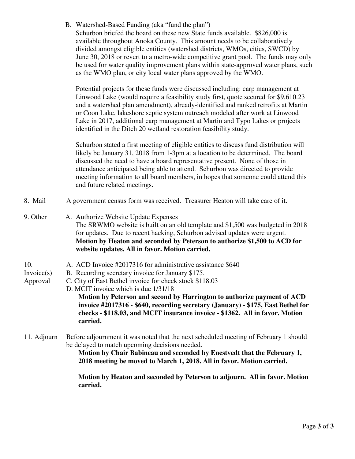|             | B. Watershed-Based Funding (aka "fund the plan")<br>Schurbon briefed the board on these new State funds available. \$826,000 is<br>available throughout Anoka County. This amount needs to be collaboratively<br>divided amongst eligible entities (watershed districts, WMOs, cities, SWCD) by<br>June 30, 2018 or revert to a metro-wide competitive grant pool. The funds may only<br>be used for water quality improvement plans within state-approved water plans, such<br>as the WMO plan, or city local water plans approved by the WMO. |
|-------------|-------------------------------------------------------------------------------------------------------------------------------------------------------------------------------------------------------------------------------------------------------------------------------------------------------------------------------------------------------------------------------------------------------------------------------------------------------------------------------------------------------------------------------------------------|
|             | Potential projects for these funds were discussed including: carp management at<br>Linwood Lake (would require a feasibility study first, quote secured for \$9,610.23<br>and a watershed plan amendment), already-identified and ranked retrofits at Martin<br>or Coon Lake, lakeshore septic system outreach modeled after work at Linwood<br>Lake in 2017, additional carp management at Martin and Typo Lakes or projects<br>identified in the Ditch 20 wetland restoration feasibility study.                                              |
|             | Schurbon stated a first meeting of eligible entities to discuss fund distribution will<br>likely be January 31, 2018 from 1-3pm at a location to be determined. The board<br>discussed the need to have a board representative present. None of those in<br>attendance anticipated being able to attend. Schurbon was directed to provide<br>meeting information to all board members, in hopes that someone could attend this<br>and future related meetings.                                                                                  |
| 8. Mail     | A government census form was received. Treasurer Heaton will take care of it.                                                                                                                                                                                                                                                                                                                                                                                                                                                                   |
| 9. Other    | A. Authorize Website Update Expenses<br>The SRWMO website is built on an old template and \$1,500 was budgeted in 2018<br>for updates. Due to recent hacking, Schurbon advised updates were urgent.<br>Motion by Heaton and seconded by Peterson to authorize \$1,500 to ACD for<br>website updates. All in favor. Motion carried.                                                                                                                                                                                                              |
| 10.         | A. ACD Invoice #2017316 for administrative assistance \$640                                                                                                                                                                                                                                                                                                                                                                                                                                                                                     |
| In voice(s) | B. Recording secretary invoice for January \$175.                                                                                                                                                                                                                                                                                                                                                                                                                                                                                               |
| Approval    | C. City of East Bethel invoice for check stock \$118.03<br>D. MCIT invoice which is due 1/31/18                                                                                                                                                                                                                                                                                                                                                                                                                                                 |
|             | Motion by Peterson and second by Harrington to authorize payment of ACD<br>invoice #2017316 - \$640, recording secretary (January) - \$175, East Bethel for<br>checks - \$118.03, and MCIT insurance invoice - \$1362. All in favor. Motion<br>carried.                                                                                                                                                                                                                                                                                         |
| 11. Adjourn | Before adjournment it was noted that the next scheduled meeting of February 1 should<br>be delayed to match upcoming decisions needed.<br>Motion by Chair Babineau and seconded by Enestvedt that the February 1,<br>2018 meeting be moved to March 1, 2018. All in favor. Motion carried.                                                                                                                                                                                                                                                      |
|             | Motion by Heaton and seconded by Peterson to adjourn. All in favor. Motion<br>carried.                                                                                                                                                                                                                                                                                                                                                                                                                                                          |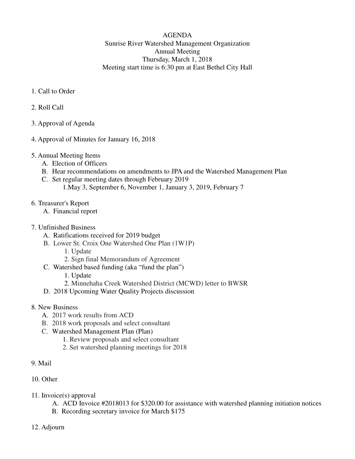AGENDA Sunrise River Watershed Management Organization Annual Meeting Thursday, March 1, 2018 Meeting start time is 6:30 pm at East Bethel City Hall

- 1. Call to Order
- 2. Roll Call
- 3. Approval of Agenda
- 4. Approval of Minutes for January 16, 2018
- 5. Annual Meeting Items
	- A. Election of Officers
	- B. Hear recommendations on amendments to JPA and the Watershed Management Plan
	- C. Set regular meeting dates through February 2019
		- 1.May 3, September 6, November 1, January 3, 2019, February 7
- 6. Treasurer's Report
	- A. Financial report
- 7. Unfinished Business
	- A. Ratifications received for 2019 budget
	- B. Lower St. Croix One Watershed One Plan (1W1P)
		- 1. Update
		- 2. Sign final Memorandum of Agreement
	- C. Watershed based funding (aka "fund the plan")
		- 1. Update
		- 2. Minnehaha Creek Watershed District (MCWD) letter to BWSR
	- D. 2018 Upcoming Water Quality Projects discussion
- 8. New Business
	- A. 2017 work results from ACD
	- B. 2018 work proposals and select consultant
	- C. Watershed Management Plan (Plan)
		- 1. Review proposals and select consultant
		- 2. Set watershed planning meetings for 2018
- 9. Mail
- 10. Other
- 11. Invoice(s) approval
	- A. ACD Invoice #2018013 for \$320.00 for assistance with watershed planning initiation notices
	- B. Recording secretary invoice for March \$175
- 12. Adjourn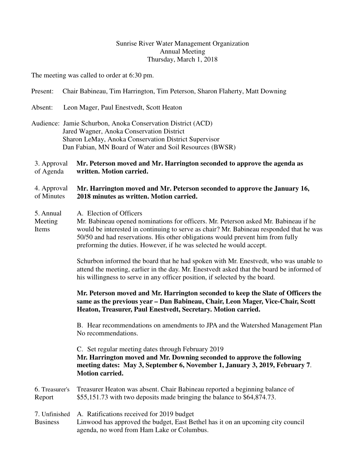## Sunrise River Water Management Organization Annual Meeting Thursday, March 1, 2018

The meeting was called to order at 6:30 pm.

| Present:                                                                                                                                                                                                                            | Chair Babineau, Tim Harrington, Tim Peterson, Sharon Flaherty, Matt Downing                                                                                                                                                                                                                                                                                        |  |  |  |
|-------------------------------------------------------------------------------------------------------------------------------------------------------------------------------------------------------------------------------------|--------------------------------------------------------------------------------------------------------------------------------------------------------------------------------------------------------------------------------------------------------------------------------------------------------------------------------------------------------------------|--|--|--|
| Absent:                                                                                                                                                                                                                             | Leon Mager, Paul Enestvedt, Scott Heaton                                                                                                                                                                                                                                                                                                                           |  |  |  |
|                                                                                                                                                                                                                                     | Audience: Jamie Schurbon, Anoka Conservation District (ACD)<br>Jared Wagner, Anoka Conservation District<br>Sharon LeMay, Anoka Conservation District Supervisor<br>Dan Fabian, MN Board of Water and Soil Resources (BWSR)                                                                                                                                        |  |  |  |
| 3. Approval<br>Mr. Peterson moved and Mr. Harrington seconded to approve the agenda as<br>of Agenda<br>written. Motion carried.                                                                                                     |                                                                                                                                                                                                                                                                                                                                                                    |  |  |  |
| 4. Approval<br>of Minutes                                                                                                                                                                                                           | Mr. Harrington moved and Mr. Peterson seconded to approve the January 16,<br>2018 minutes as written. Motion carried.                                                                                                                                                                                                                                              |  |  |  |
| 5. Annual<br>Meeting<br>Items                                                                                                                                                                                                       | A. Election of Officers<br>Mr. Babineau opened nominations for officers. Mr. Peterson asked Mr. Babineau if he<br>would be interested in continuing to serve as chair? Mr. Babineau responded that he was<br>50/50 and had reservations. His other obligations would prevent him from fully<br>preforming the duties. However, if he was selected he would accept. |  |  |  |
|                                                                                                                                                                                                                                     | Schurbon informed the board that he had spoken with Mr. Enestvedt, who was unable to<br>attend the meeting, earlier in the day. Mr. Enestvedt asked that the board be informed of<br>his willingness to serve in any officer position, if selected by the board.                                                                                                   |  |  |  |
| Mr. Peterson moved and Mr. Harrington seconded to keep the Slate of Officers the<br>same as the previous year - Dan Babineau, Chair, Leon Mager, Vice-Chair, Scott<br>Heaton, Treasurer, Paul Enestvedt, Secretary. Motion carried. |                                                                                                                                                                                                                                                                                                                                                                    |  |  |  |
|                                                                                                                                                                                                                                     | B. Hear recommendations on amendments to JPA and the Watershed Management Plan<br>No recommendations.                                                                                                                                                                                                                                                              |  |  |  |
|                                                                                                                                                                                                                                     | C. Set regular meeting dates through February 2019<br>Mr. Harrington moved and Mr. Downing seconded to approve the following<br>meeting dates: May 3, September 6, November 1, January 3, 2019, February 7.<br><b>Motion carried.</b>                                                                                                                              |  |  |  |
| 6. Treasurer's<br>Report                                                                                                                                                                                                            | Treasurer Heaton was absent. Chair Babineau reported a beginning balance of<br>\$55,151.73 with two deposits made bringing the balance to \$64,874.73.                                                                                                                                                                                                             |  |  |  |
| 7. Unfinished<br><b>Business</b>                                                                                                                                                                                                    | A. Ratifications received for 2019 budget<br>Linwood has approved the budget, East Bethel has it on an upcoming city council<br>agenda, no word from Ham Lake or Columbus.                                                                                                                                                                                         |  |  |  |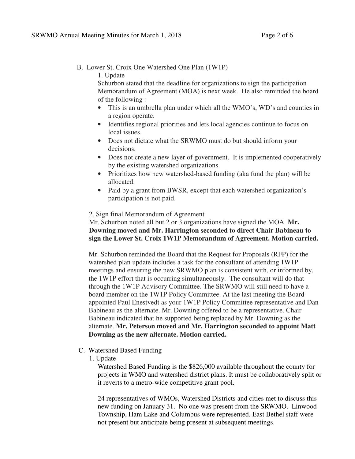B. Lower St. Croix One Watershed One Plan (1W1P)

1. Update

Schurbon stated that the deadline for organizations to sign the participation Memorandum of Agreement (MOA) is next week. He also reminded the board of the following :

- This is an umbrella plan under which all the WMO's, WD's and counties in a region operate.
- Identifies regional priorities and lets local agencies continue to focus on local issues.
- Does not dictate what the SRWMO must do but should inform your decisions.
- Does not create a new layer of government. It is implemented cooperatively by the existing watershed organizations.
- Prioritizes how new watershed-based funding (aka fund the plan) will be allocated.
- Paid by a grant from BWSR, except that each watershed organization's participation is not paid.

#### 2. Sign final Memorandum of Agreement

 Mr. Schurbon noted all but 2 or 3 organizations have signed the MOA. **Mr. Downing moved and Mr. Harrington seconded to direct Chair Babineau to sign the Lower St. Croix 1W1P Memorandum of Agreement. Motion carried.** 

Mr. Schurbon reminded the Board that the Request for Proposals (RFP) for the watershed plan update includes a task for the consultant of attending 1W1P meetings and ensuring the new SRWMO plan is consistent with, or informed by, the 1W1P effort that is occurring simultaneously. The consultant will do that through the 1W1P Advisory Committee. The SRWMO will still need to have a board member on the 1W1P Policy Committee. At the last meeting the Board appointed Paul Enestvedt as your 1W1P Policy Committee representative and Dan Babineau as the alternate. Mr. Downing offered to be a representative. Chair Babineau indicated that he supported being replaced by Mr. Downing as the alternate. **Mr. Peterson moved and Mr. Harrington seconded to appoint Matt Downing as the new alternate. Motion carried.** 

- C. Watershed Based Funding
	- 1. Update

Watershed Based Funding is the \$826,000 available throughout the county for projects in WMO and watershed district plans. It must be collaboratively split or it reverts to a metro-wide competitive grant pool.

24 representatives of WMOs, Watershed Districts and cities met to discuss this new funding on January 31. No one was present from the SRWMO. Linwood Township, Ham Lake and Columbus were represented. East Bethel staff were not present but anticipate being present at subsequent meetings.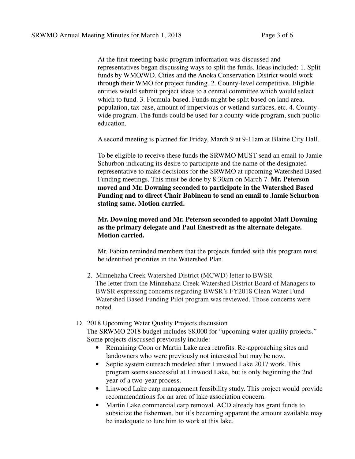At the first meeting basic program information was discussed and representatives began discussing ways to split the funds. Ideas included: 1. Split funds by WMO/WD. Cities and the Anoka Conservation District would work through their WMO for project funding. 2. County-level competitive. Eligible entities would submit project ideas to a central committee which would select which to fund. 3. Formula-based. Funds might be split based on land area, population, tax base, amount of impervious or wetland surfaces, etc. 4. Countywide program. The funds could be used for a county-wide program, such public education.

A second meeting is planned for Friday, March 9 at 9-11am at Blaine City Hall.

To be eligible to receive these funds the SRWMO MUST send an email to Jamie Schurbon indicating its desire to participate and the name of the designated representative to make decisions for the SRWMO at upcoming Watershed Based Funding meetings. This must be done by 8:30am on March 7. **Mr. Peterson moved and Mr. Downing seconded to participate in the Watershed Based Funding and to direct Chair Babineau to send an email to Jamie Schurbon stating same. Motion carried.** 

**Mr. Downing moved and Mr. Peterson seconded to appoint Matt Downing as the primary delegate and Paul Enestvedt as the alternate delegate. Motion carried.**

Mr. Fabian reminded members that the projects funded with this program must be identified priorities in the Watershed Plan.

- 2. Minnehaha Creek Watershed District (MCWD) letter to BWSR The letter from the Minnehaha Creek Watershed District Board of Managers to BWSR expressing concerns regarding BWSR's FY2018 Clean Water Fund Watershed Based Funding Pilot program was reviewed. Those concerns were noted.
- D. 2018 Upcoming Water Quality Projects discussion

 The SRWMO 2018 budget includes \$8,000 for "upcoming water quality projects." Some projects discussed previously include:

- Remaining Coon or Martin Lake area retrofits. Re-approaching sites and landowners who were previously not interested but may be now.
- Septic system outreach modeled after Linwood Lake 2017 work. This program seems successful at Linwood Lake, but is only beginning the 2nd year of a two-year process.
- Linwood Lake carp management feasibility study. This project would provide recommendations for an area of lake association concern.
- Martin Lake commercial carp removal. ACD already has grant funds to subsidize the fisherman, but it's becoming apparent the amount available may be inadequate to lure him to work at this lake.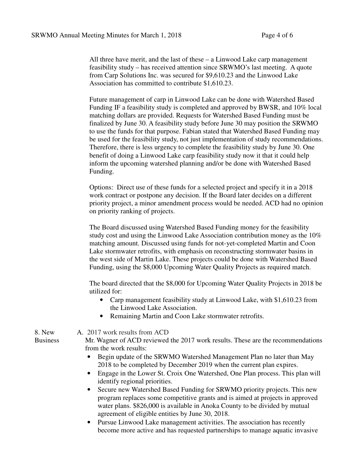All three have merit, and the last of these – a Linwood Lake carp management feasibility study – has received attention since SRWMO's last meeting. A quote from Carp Solutions Inc. was secured for \$9,610.23 and the Linwood Lake Association has committed to contribute \$1,610.23.

Future management of carp in Linwood Lake can be done with Watershed Based Funding IF a feasibility study is completed and approved by BWSR, and 10% local matching dollars are provided. Requests for Watershed Based Funding must be finalized by June 30. A feasibility study before June 30 may position the SRWMO to use the funds for that purpose. Fabian stated that Watershed Based Funding may be used for the feasibility study, not just implementation of study recommendations. Therefore, there is less urgency to complete the feasibility study by June 30. One benefit of doing a Linwood Lake carp feasibility study now it that it could help inform the upcoming watershed planning and/or be done with Watershed Based Funding.

Options: Direct use of these funds for a selected project and specify it in a 2018 work contract or postpone any decision. If the Board later decides on a different priority project, a minor amendment process would be needed. ACD had no opinion on priority ranking of projects.

The Board discussed using Watershed Based Funding money for the feasibility study cost and using the Linwood Lake Association contribution money as the 10% matching amount. Discussed using funds for not-yet-completed Martin and Coon Lake stormwater retrofits, with emphasis on reconstructing stormwater basins in the west side of Martin Lake. These projects could be done with Watershed Based Funding, using the \$8,000 Upcoming Water Quality Projects as required match.

The board directed that the \$8,000 for Upcoming Water Quality Projects in 2018 be utilized for:

- Carp management feasibility study at Linwood Lake, with \$1,610.23 from the Linwood Lake Association.
- Remaining Martin and Coon Lake stormwater retrofits.

#### A. 2017 work results from ACD

Mr. Wagner of ACD reviewed the 2017 work results. These are the recommendations from the work results:

- Begin update of the SRWMO Watershed Management Plan no later than May 2018 to be completed by December 2019 when the current plan expires.
- Engage in the Lower St. Croix One Watershed, One Plan process. This plan will identify regional priorities.
- Secure new Watershed Based Funding for SRWMO priority projects. This new program replaces some competitive grants and is aimed at projects in approved water plans. \$826,000 is available in Anoka County to be divided by mutual agreement of eligible entities by June 30, 2018.
- Pursue Linwood Lake management activities. The association has recently become more active and has requested partnerships to manage aquatic invasive

8. New Business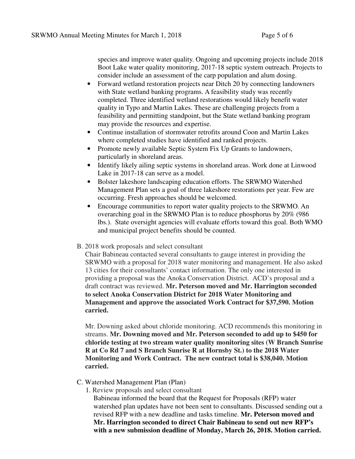species and improve water quality. Ongoing and upcoming projects include 2018 Boot Lake water quality monitoring, 2017-18 septic system outreach. Projects to consider include an assessment of the carp population and alum dosing.

- Forward wetland restoration projects near Ditch 20 by connecting landowners with State wetland banking programs. A feasibility study was recently completed. Three identified wetland restorations would likely benefit water quality in Typo and Martin Lakes. These are challenging projects from a feasibility and permitting standpoint, but the State wetland banking program may provide the resources and expertise.
- Continue installation of stormwater retrofits around Coon and Martin Lakes where completed studies have identified and ranked projects.
- Promote newly available Septic System Fix Up Grants to landowners, particularly in shoreland areas.
- Identify likely ailing septic systems in shoreland areas. Work done at Linwood Lake in 2017-18 can serve as a model.
- Bolster lakeshore landscaping education efforts. The SRWMO Watershed Management Plan sets a goal of three lakeshore restorations per year. Few are occurring. Fresh approaches should be welcomed.
- Encourage communities to report water quality projects to the SRWMO. An overarching goal in the SRWMO Plan is to reduce phosphorus by 20% (986 lbs.). State oversight agencies will evaluate efforts toward this goal. Both WMO and municipal project benefits should be counted.
- B. 2018 work proposals and select consultant

Chair Babineau contacted several consultants to gauge interest in providing the SRWMO with a proposal for 2018 water monitoring and management. He also asked 13 cities for their consultants' contact information. The only one interested in providing a proposal was the Anoka Conservation District. ACD's proposal and a draft contract was reviewed. **Mr. Peterson moved and Mr. Harrington seconded to select Anoka Conservation District for 2018 Water Monitoring and Management and approve the associated Work Contract for \$37,590. Motion carried.** 

Mr. Downing asked about chloride monitoring. ACD recommends this monitoring in streams. **Mr. Downing moved and Mr. Peterson seconded to add up to \$450 for chloride testing at two stream water quality monitoring sites (W Branch Sunrise R at Co Rd 7 and S Branch Sunrise R at Hornsby St.) to the 2018 Water Monitoring and Work Contract. The new contract total is \$38,040. Motion carried.**

- C. Watershed Management Plan (Plan)
	- 1. Review proposals and select consultant

Babineau informed the board that the Request for Proposals (RFP) water watershed plan updates have not been sent to consultants. Discussed sending out a revised RFP with a new deadline and tasks timeline. **Mr. Peterson moved and Mr. Harrington seconded to direct Chair Babineau to send out new RFP's with a new submission deadline of Monday, March 26, 2018. Motion carried.**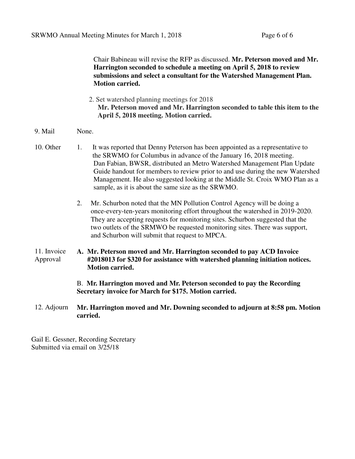Chair Babineau will revise the RFP as discussed. **Mr. Peterson moved and Mr. Harrington seconded to schedule a meeting on April 5, 2018 to review submissions and select a consultant for the Watershed Management Plan. Motion carried.** 

- 2. Set watershed planning meetings for 2018 **Mr. Peterson moved and Mr. Harrington seconded to table this item to the April 5, 2018 meeting. Motion carried.**
- 9. Mail None.
- 10. Other 1. It was reported that Denny Peterson has been appointed as a representative to the SRWMO for Columbus in advance of the January 16, 2018 meeting. Dan Fabian, BWSR, distributed an Metro Watershed Management Plan Update Guide handout for members to review prior to and use during the new Watershed Management. He also suggested looking at the Middle St. Croix WMO Plan as a sample, as it is about the same size as the SRWMO.
	- 2. Mr. Schurbon noted that the MN Pollution Control Agency will be doing a once-every-ten-years monitoring effort throughout the watershed in 2019-2020. They are accepting requests for monitoring sites. Schurbon suggested that the two outlets of the SRMWO be requested monitoring sites. There was support, and Schurbon will submit that request to MPCA.
- 11. Invoice Approval **A. Mr. Peterson moved and Mr. Harrington seconded to pay ACD Invoice #2018013 for \$320 for assistance with watershed planning initiation notices. Motion carried.**

B. **Mr. Harrington moved and Mr. Peterson seconded to pay the Recording Secretary invoice for March for \$175. Motion carried.** 

12. Adjourn **Mr. Harrington moved and Mr. Downing seconded to adjourn at 8:58 pm. Motion carried.** 

Gail E. Gessner, Recording Secretary Submitted via email on 3/25/18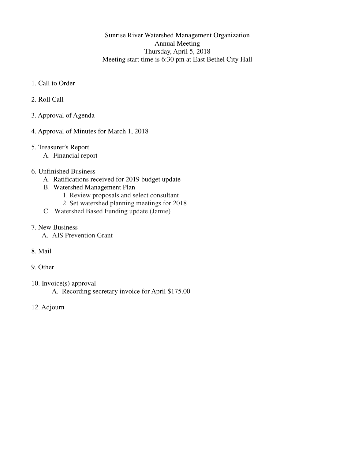## Sunrise River Watershed Management Organization Annual Meeting Thursday, April 5, 2018 Meeting start time is 6:30 pm at East Bethel City Hall

- 1. Call to Order
- 2. Roll Call
- 3. Approval of Agenda
- 4. Approval of Minutes for March 1, 2018
- 5. Treasurer's Report
	- A. Financial report
- 6. Unfinished Business
	- A. Ratifications received for 2019 budget update
	- B. Watershed Management Plan
		- 1. Review proposals and select consultant
		- 2. Set watershed planning meetings for 2018
	- C. Watershed Based Funding update (Jamie)
- 7. New Business
	- A. AIS Prevention Grant
- 8. Mail
- 9. Other
- 10. Invoice(s) approval A. Recording secretary invoice for April \$175.00
- 12. Adjourn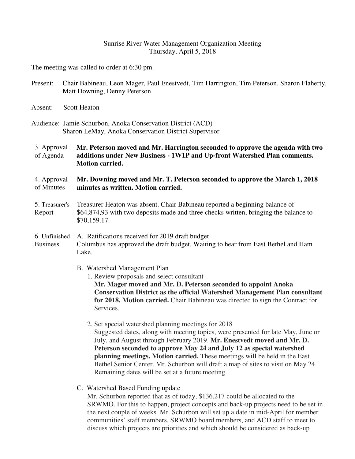#### Sunrise River Water Management Organization Meeting Thursday, April 5, 2018

The meeting was called to order at 6:30 pm.

- Present: Chair Babineau, Leon Mager, Paul Enestvedt, Tim Harrington, Tim Peterson, Sharon Flaherty, Matt Downing, Denny Peterson
- Absent: Scott Heaton

Audience: Jamie Schurbon, Anoka Conservation District (ACD) Sharon LeMay, Anoka Conservation District Supervisor

3. Approval of Agenda **Mr. Peterson moved and Mr. Harrington seconded to approve the agenda with two additions under New Business - 1W1P and Up-front Watershed Plan comments. Motion carried.**

4. Approval of Minutes **Mr. Downing moved and Mr. T. Peterson seconded to approve the March 1, 2018 minutes as written. Motion carried.**

5. Treasurer's Report Treasurer Heaton was absent. Chair Babineau reported a beginning balance of \$64,874,93 with two deposits made and three checks written, bringing the balance to \$70,159.17.

#### 6. Unfinished Business A. Ratifications received for 2019 draft budget Columbus has approved the draft budget. Waiting to hear from East Bethel and Ham Lake.

B. Watershed Management Plan

 1. Review proposals and select consultant  **Mr. Mager moved and Mr. D. Peterson seconded to appoint Anoka Conservation District as the official Watershed Management Plan consultant for 2018. Motion carried.** Chair Babineau was directed to sign the Contract for Services.

- 2. Set special watershed planning meetings for 2018 Suggested dates, along with meeting topics, were presented for late May, June or July, and August through February 2019. **Mr. Enestvedt moved and Mr. D. Peterson seconded to approve May 24 and July 12 as special watershed planning meetings. Motion carried.** These meetings will be held in the East Bethel Senior Center. Mr. Schurbon will draft a map of sites to visit on May 24. Remaining dates will be set at a future meeting.
- C. Watershed Based Funding update

Mr. Schurbon reported that as of today, \$136,217 could be allocated to the SRWMO. For this to happen, project concepts and back-up projects need to be set in the next couple of weeks. Mr. Schurbon will set up a date in mid-April for member communities' staff members, SRWMO board members, and ACD staff to meet to discuss which projects are priorities and which should be considered as back-up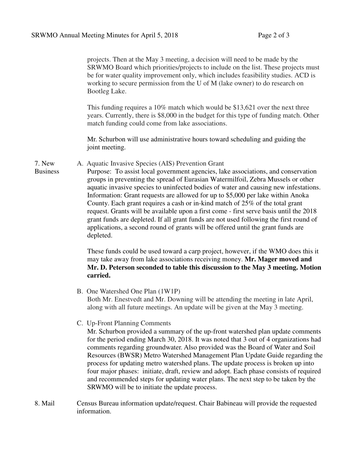projects. Then at the May 3 meeting, a decision will need to be made by the SRWMO Board which priorities/projects to include on the list. These projects must be for water quality improvement only, which includes feasibility studies. ACD is working to secure permission from the U of M (lake owner) to do research on Bootleg Lake.

This funding requires a 10% match which would be \$13,621 over the next three years. Currently, there is \$8,000 in the budget for this type of funding match. Other match funding could come from lake associations.

 Mr. Schurbon will use administrative hours toward scheduling and guiding the joint meeting.

7. New A. Aquatic Invasive Species (AIS) Prevention Grant

Business

Purpose: To assist local government agencies, lake associations, and conservation groups in preventing the spread of Eurasian Watermilfoil, Zebra Mussels or other aquatic invasive species to uninfected bodies of water and causing new infestations. Information: Grant requests are allowed for up to \$5,000 per lake within Anoka County. Each grant requires a cash or in-kind match of 25% of the total grant request. Grants will be available upon a first come - first serve basis until the 2018 grant funds are depleted. If all grant funds are not used following the first round of applications, a second round of grants will be offered until the grant funds are depleted.

These funds could be used toward a carp project, however, if the WMO does this it may take away from lake associations receiving money. **Mr. Mager moved and Mr. D. Peterson seconded to table this discussion to the May 3 meeting. Motion carried.**

- B. One Watershed One Plan (1W1P) Both Mr. Enestvedt and Mr. Downing will be attending the meeting in late April, along with all future meetings. An update will be given at the May 3 meeting.
- C. Up-Front Planning Comments

Mr. Schurbon provided a summary of the up-front watershed plan update comments for the period ending March 30, 2018. It was noted that 3 out of 4 organizations had comments regarding groundwater. Also provided was the Board of Water and Soil Resources (BWSR) Metro Watershed Management Plan Update Guide regarding the process for updating metro watershed plans. The update process is broken up into four major phases: initiate, draft, review and adopt. Each phase consists of required and recommended steps for updating water plans. The next step to be taken by the SRWMO will be to initiate the update process.

8. Mail Census Bureau information update/request. Chair Babineau will provide the requested information.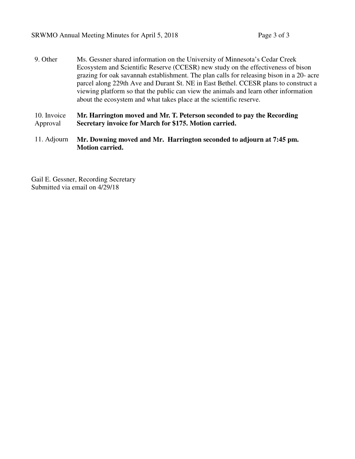9. Other Ms. Gessner shared information on the University of Minnesota's Cedar Creek Ecosystem and Scientific Reserve (CCESR) new study on the effectiveness of bison grazing for oak savannah establishment. The plan calls for releasing bison in a 20- acre parcel along 229th Ave and Durant St. NE in East Bethel. CCESR plans to construct a viewing platform so that the public can view the animals and learn other information about the ecosystem and what takes place at the scientific reserve.

10. Invoice Approval **Mr. Harrington moved and Mr. T. Peterson seconded to pay the Recording Secretary invoice for March for \$175. Motion carried.** 

11. Adjourn **Mr. Downing moved and Mr. Harrington seconded to adjourn at 7:45 pm. Motion carried.** 

Gail E. Gessner, Recording Secretary Submitted via email on 4/29/18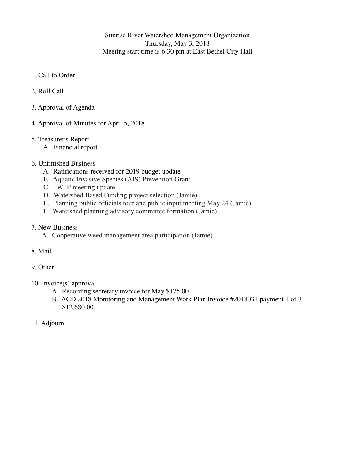Sunrise River Watershed Management Organization Thursday, May 3, 2018 Meeting start time is 6:30 pm at East Bethel City Hall

- 1. Call to Order
- 2. Roll Call
- 3. Approval of Agenda
- 4. Approval of Minutes for April 5, 2018
- 5. Treasurer's Report
	- A. Financial report
- 6. Unfinished Business
	- A. Ratifications received for 2019 budget update
	- B. Aquatic Invasive Species (AIS) Prevention Grant
	- C. 1W1P meeting update
	- D. Watershed Based Funding project selection (Jamie)
	- E. Planning public officials tour and public input meeting May 24 (Jamie)
	- F. Watershed planning advisory committee formation (Jamie)
- 7. New Business
	- A. Cooperative weed management area participation (Jamie)
- 8. Mail
- 9. Other
- 10. Invoice(s) approval
	- A. Recording secretary invoice for May \$175.00
	- B. ACD 2018 Monitoring and Management Work Plan Invoice #2018031 payment 1 of 3 \$12,680.00.
- 11. Adjourn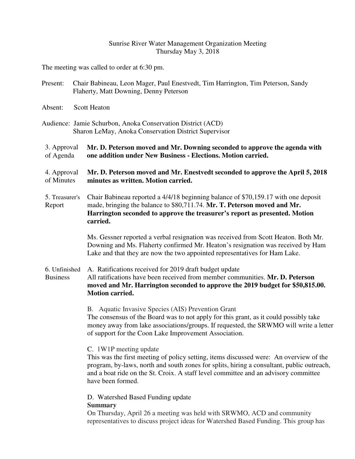#### Sunrise River Water Management Organization Meeting Thursday May 3, 2018

The meeting was called to order at 6:30 pm.

- Present: Chair Babineau, Leon Mager, Paul Enestvedt, Tim Harrington, Tim Peterson, Sandy Flaherty, Matt Downing, Denny Peterson
- Absent: Scott Heaton
- Audience: Jamie Schurbon, Anoka Conservation District (ACD) Sharon LeMay, Anoka Conservation District Supervisor

#### 3. Approval of Agenda **Mr. D. Peterson moved and Mr. Downing seconded to approve the agenda with one addition under New Business - Elections. Motion carried.**

- 4. Approval of Minutes **Mr. D. Peterson moved and Mr. Enestvedt seconded to approve the April 5, 2018 minutes as written. Motion carried.**
- 5. Treasurer's Report Chair Babineau reported a 4/4/18 beginning balance of \$70,159.17 with one deposit made, bringing the balance to \$80,711.74. **Mr. T. Peterson moved and Mr. Harrington seconded to approve the treasurer's report as presented. Motion carried.**

Ms. Gessner reported a verbal resignation was received from Scott Heaton. Both Mr. Downing and Ms. Flaherty confirmed Mr. Heaton's resignation was received by Ham Lake and that they are now the two appointed representatives for Ham Lake.

6. Unfinished Business A. Ratifications received for 2019 draft budget update All ratifications have been received from member communities. **Mr. D. Peterson moved and Mr. Harrington seconded to approve the 2019 budget for \$50,815.00. Motion carried.** 

> B. Aquatic Invasive Species (AIS) Prevention Grant The consensus of the Board was to not apply for this grant, as it could possibly take money away from lake associations/groups. If requested, the SRWMO will write a letter of support for the Coon Lake Improvement Association.

C. 1W1P meeting update

This was the first meeting of policy setting, items discussed were: An overview of the program, by-laws, north and south zones for splits, hiring a consultant, public outreach, and a boat ride on the St. Croix. A staff level committee and an advisory committee have been formed.

D. Watershed Based Funding update

**Summary**

On Thursday, April 26 a meeting was held with SRWMO, ACD and community representatives to discuss project ideas for Watershed Based Funding. This group has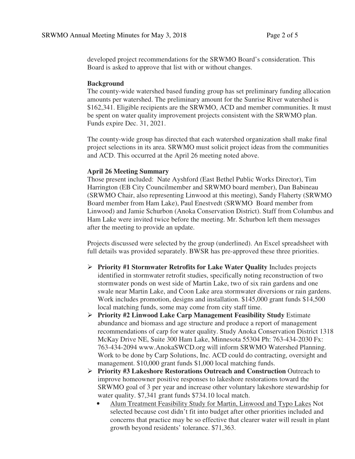developed project recommendations for the SRWMO Board's consideration. This Board is asked to approve that list with or without changes.

#### **Background**

The county-wide watershed based funding group has set preliminary funding allocation amounts per watershed. The preliminary amount for the Sunrise River watershed is \$162,341. Eligible recipients are the SRWMO, ACD and member communities. It must be spent on water quality improvement projects consistent with the SRWMO plan. Funds expire Dec. 31, 2021.

The county-wide group has directed that each watershed organization shall make final project selections in its area. SRWMO must solicit project ideas from the communities and ACD. This occurred at the April 26 meeting noted above.

#### **April 26 Meeting Summary**

Those present included: Nate Ayshford (East Bethel Public Works Director), Tim Harrington (EB City Councilmember and SRWMO board member), Dan Babineau (SRWMO Chair, also representing Linwood at this meeting), Sandy Flaherty (SRWMO Board member from Ham Lake), Paul Enestvedt (SRWMO Board member from Linwood) and Jamie Schurbon (Anoka Conservation District). Staff from Columbus and Ham Lake were invited twice before the meeting. Mr. Schurbon left them messages after the meeting to provide an update.

Projects discussed were selected by the group (underlined). An Excel spreadsheet with full details was provided separately. BWSR has pre-approved these three priorities.

- **Priority #1 Stormwater Retrofits for Lake Water Quality** Includes projects identified in stormwater retrofit studies, specifically noting reconstruction of two stormwater ponds on west side of Martin Lake, two of six rain gardens and one swale near Martin Lake, and Coon Lake area stormwater diversions or rain gardens. Work includes promotion, designs and installation. \$145,000 grant funds \$14,500 local matching funds, some may come from city staff time.
- **Priority #2 Linwood Lake Carp Management Feasibility Study** Estimate abundance and biomass and age structure and produce a report of management recommendations of carp for water quality. Study Anoka Conservation District 1318 McKay Drive NE, Suite 300 Ham Lake, Minnesota 55304 Ph: 763-434-2030 Fx: 763-434-2094 www.AnokaSWCD.org will inform SRWMO Watershed Planning. Work to be done by Carp Solutions, Inc. ACD could do contracting, oversight and management. \$10,000 grant funds \$1,000 local matching funds.
- **Priority #3 Lakeshore Restorations Outreach and Construction** Outreach to improve homeowner positive responses to lakeshore restorations toward the SRWMO goal of 3 per year and increase other voluntary lakeshore stewardship for water quality. \$7,341 grant funds \$734.10 local match.
	- Alum Treatment Feasibility Study for Martin, Linwood and Typo Lakes Not selected because cost didn't fit into budget after other priorities included and concerns that practice may be so effective that clearer water will result in plant growth beyond residents' tolerance. \$71,363.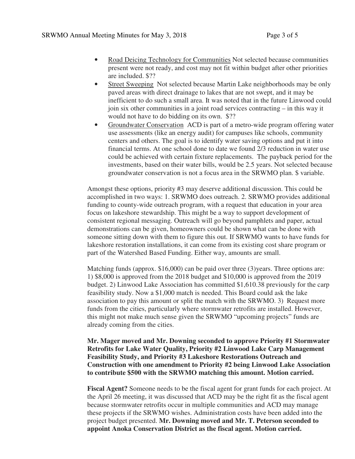- Road Deicing Technology for Communities Not selected because communities present were not ready, and cost may not fit within budget after other priorities are included. \$??
- Street Sweeping Not selected because Martin Lake neighborhoods may be only paved areas with direct drainage to lakes that are not swept, and it may be inefficient to do such a small area. It was noted that in the future Linwood could join six other communities in a joint road services contracting – in this way it would not have to do bidding on its own. \$??
- Groundwater Conservation ACD is part of a metro-wide program offering water use assessments (like an energy audit) for campuses like schools, community centers and others. The goal is to identify water saving options and put it into financial terms. At one school done to date we found 2/3 reduction in water use could be achieved with certain fixture replacements. The payback period for the investments, based on their water bills, would be 2.5 years. Not selected because groundwater conservation is not a focus area in the SRWMO plan. \$ variable.

Amongst these options, priority #3 may deserve additional discussion. This could be accomplished in two ways: 1. SRWMO does outreach. 2. SRWMO provides additional funding to county-wide outreach program, with a request that education in your area focus on lakeshore stewardship. This might be a way to support development of consistent regional messaging. Outreach will go beyond pamphlets and paper, actual demonstrations can be given, homeowners could be shown what can be done with someone sitting down with them to figure this out. If SRWMO wants to have funds for lakeshore restoration installations, it can come from its existing cost share program or part of the Watershed Based Funding. Either way, amounts are small.

Matching funds (approx. \$16,000) can be paid over three (3)years. Three options are: 1) \$8,000 is approved from the 2018 budget and \$10,000 is approved from the 2019 budget. 2) Linwood Lake Association has committed \$1,610.38 previously for the carp feasibility study. Now a \$1,000 match is needed. This Board could ask the lake association to pay this amount or split the match with the SRWMO. 3) Request more funds from the cities, particularly where stormwater retrofits are installed. However, this might not make much sense given the SRWMO "upcoming projects" funds are already coming from the cities.

**Mr. Mager moved and Mr. Downing seconded to approve Priority #1 Stormwater Retrofits for Lake Water Quality, Priority #2 Linwood Lake Carp Management Feasibility Study, and Priority #3 Lakeshore Restorations Outreach and Construction with one amendment to Priority #2 being Linwood Lake Association to contribute \$500 with the SRWMO matching this amount. Motion carried.**

**Fiscal Agent?** Someone needs to be the fiscal agent for grant funds for each project. At the April 26 meeting, it was discussed that ACD may be the right fit as the fiscal agent because stormwater retrofits occur in multiple communities and ACD may manage these projects if the SRWMO wishes. Administration costs have been added into the project budget presented. **Mr. Downing moved and Mr. T. Peterson seconded to appoint Anoka Conservation District as the fiscal agent. Motion carried.**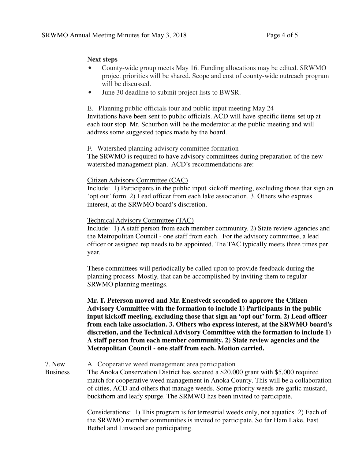### **Next steps**

- County-wide group meets May 16. Funding allocations may be edited. SRWMO project priorities will be shared. Scope and cost of county-wide outreach program will be discussed.
- June 30 deadline to submit project lists to BWSR.

E. Planning public officials tour and public input meeting May 24 Invitations have been sent to public officials. ACD will have specific items set up at each tour stop. Mr. Schurbon will be the moderator at the public meeting and will address some suggested topics made by the board.

### F. Watershed planning advisory committee formation

The SRWMO is required to have advisory committees during preparation of the new watershed management plan. ACD's recommendations are:

### Citizen Advisory Committee (CAC)

Include: 1) Participants in the public input kickoff meeting, excluding those that sign an 'opt out' form. 2) Lead officer from each lake association. 3. Others who express interest, at the SRWMO board's discretion.

### Technical Advisory Committee (TAC)

Include: 1) A staff person from each member community. 2) State review agencies and the Metropolitan Council - one staff from each. For the advisory committee, a lead officer or assigned rep needs to be appointed. The TAC typically meets three times per year.

These committees will periodically be called upon to provide feedback during the planning process. Mostly, that can be accomplished by inviting them to regular SRWMO planning meetings.

**Mr. T. Peterson moved and Mr. Enestvedt seconded to approve the Citizen Advisory Committee with the formation to include 1) Participants in the public input kickoff meeting, excluding those that sign an 'opt out' form. 2) Lead officer from each lake association. 3. Others who express interest, at the SRWMO board's discretion, and the Technical Advisory Committee with the formation to include 1) A staff person from each member community. 2) State review agencies and the Metropolitan Council - one staff from each. Motion carried.** 

7. New A. Cooperative weed management area participation

**Business** The Anoka Conservation District has secured a \$20,000 grant with \$5,000 required match for cooperative weed management in Anoka County. This will be a collaboration of cities, ACD and others that manage weeds. Some priority weeds are garlic mustard, buckthorn and leafy spurge. The SRMWO has been invited to participate.

> Considerations: 1) This program is for terrestrial weeds only, not aquatics. 2) Each of the SRWMO member communities is invited to participate. So far Ham Lake, East Bethel and Linwood are participating.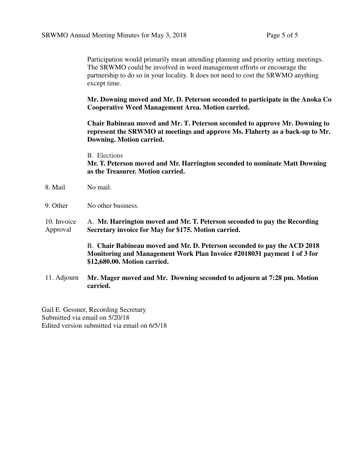Participation would primarily mean attending planning and priority setting meetings. The SRWMO could be involved in weed management efforts or encourage the partnership to do so in your locality. It does not need to cost the SRWMO anything except time.

**Mr. Downing moved and Mr. D. Peterson seconded to participate in the Anoka Co Cooperative Weed Management Area. Motion carried.** 

**Chair Babineau moved and Mr. T. Peterson seconded to approve Mr. Downing to represent the SRWMO at meetings and approve Ms. Flaherty as a back-up to Mr. Downing. Motion carried.** 

#### B. Elections

**Mr. T. Peterson moved and Mr. Harrington seconded to nominate Matt Downing as the Treasurer. Motion carried.** 

- 8. Mail No mail.
- 9. Other No other business.

10. Invoice Approval A. **Mr. Harrington moved and Mr. T. Peterson seconded to pay the Recording Secretary invoice for May for \$175. Motion carried.**

> B. **Chair Babineau moved and Mr. D. Peterson seconded to pay the ACD 2018 Monitoring and Management Work Plan Invoice #2018031 payment 1 of 3 for \$12,680.00. Motion carried.**

11. Adjourn **Mr. Mager moved and Mr. Downing seconded to adjourn at 7:28 pm. Motion carried.** 

Gail E. Gessner, Recording Secretary Submitted via email on 5/20/18 Edited version submitted via email on 6/5/18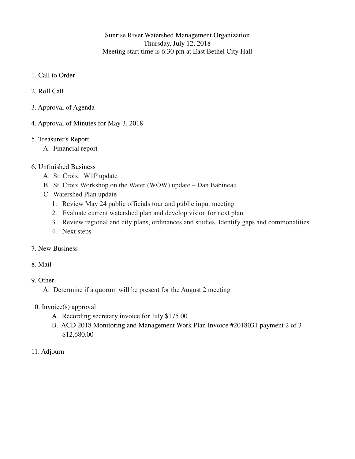Sunrise River Watershed Management Organization Thursday, July 12, 2018 Meeting start time is 6:30 pm at East Bethel City Hall

- 1. Call to Order
- 2. Roll Call
- 3. Approval of Agenda
- 4. Approval of Minutes for May 3, 2018
- 5. Treasurer's Report
	- A. Financial report
- 6. Unfinished Business
	- A. St. Croix 1W1P update
	- B. St. Croix Workshop on the Water (WOW) update Dan Babineau
	- C. Watershed Plan update
		- 1. Review May 24 public officials tour and public input meeting
		- 2. Evaluate current watershed plan and develop vision for next plan
		- 3. Review regional and city plans, ordinances and studies. Identify gaps and commonalities.
		- 4. Next steps
- 7. New Business
- 8. Mail
- 9. Other

A. Determine if a quorum will be present for the August 2 meeting

- 10. Invoice(s) approval
	- A. Recording secretary invoice for July \$175.00
	- B. ACD 2018 Monitoring and Management Work Plan Invoice #2018031 payment 2 of 3 \$12,680.00
- 11. Adjourn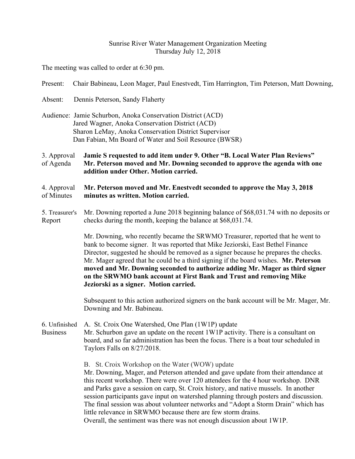### Sunrise River Water Management Organization Meeting Thursday July 12, 2018

The meeting was called to order at 6:30 pm.

| Present:                                                                                                                                                                                                                         | Chair Babineau, Leon Mager, Paul Enestvedt, Tim Harrington, Tim Peterson, Matt Downing,                                                                                                                                                                                                                                                                                                                                                                                                                                                                                                                                                    |  |  |  |  |
|----------------------------------------------------------------------------------------------------------------------------------------------------------------------------------------------------------------------------------|--------------------------------------------------------------------------------------------------------------------------------------------------------------------------------------------------------------------------------------------------------------------------------------------------------------------------------------------------------------------------------------------------------------------------------------------------------------------------------------------------------------------------------------------------------------------------------------------------------------------------------------------|--|--|--|--|
| Absent:                                                                                                                                                                                                                          | Dennis Peterson, Sandy Flaherty                                                                                                                                                                                                                                                                                                                                                                                                                                                                                                                                                                                                            |  |  |  |  |
| Audience: Jamie Schurbon, Anoka Conservation District (ACD)<br>Jared Wagner, Anoka Conservation District (ACD)<br>Sharon LeMay, Anoka Conservation District Supervisor<br>Dan Fabian, Mn Board of Water and Soil Resource (BWSR) |                                                                                                                                                                                                                                                                                                                                                                                                                                                                                                                                                                                                                                            |  |  |  |  |
| 3. Approval<br>of Agenda                                                                                                                                                                                                         | Jamie S requested to add item under 9. Other "B. Local Water Plan Reviews"<br>Mr. Peterson moved and Mr. Downing seconded to approve the agenda with one<br>addition under Other. Motion carried.                                                                                                                                                                                                                                                                                                                                                                                                                                          |  |  |  |  |
| 4. Approval<br>of Minutes                                                                                                                                                                                                        | Mr. Peterson moved and Mr. Enestvedt seconded to approve the May 3, 2018<br>minutes as written. Motion carried.                                                                                                                                                                                                                                                                                                                                                                                                                                                                                                                            |  |  |  |  |
| 5. Treasurer's<br>Report                                                                                                                                                                                                         | Mr. Downing reported a June 2018 beginning balance of \$68,031.74 with no deposits or<br>checks during the month, keeping the balance at \$68,031.74.                                                                                                                                                                                                                                                                                                                                                                                                                                                                                      |  |  |  |  |
|                                                                                                                                                                                                                                  | Mr. Downing, who recently became the SRWMO Treasurer, reported that he went to<br>bank to become signer. It was reported that Mike Jeziorski, East Bethel Finance<br>Director, suggested he should be removed as a signer because he prepares the checks.<br>Mr. Mager agreed that he could be a third signing if the board wishes. Mr. Peterson<br>moved and Mr. Downing seconded to authorize adding Mr. Mager as third signer<br>on the SRWMO bank account at First Bank and Trust and removing Mike<br>Jeziorski as a signer. Motion carried.                                                                                          |  |  |  |  |
|                                                                                                                                                                                                                                  | Subsequent to this action authorized signers on the bank account will be Mr. Mager, Mr.<br>Downing and Mr. Babineau.                                                                                                                                                                                                                                                                                                                                                                                                                                                                                                                       |  |  |  |  |
| 6. Unfinished<br><b>Business</b>                                                                                                                                                                                                 | A. St. Croix One Watershed, One Plan (1W1P) update<br>Mr. Schurbon gave an update on the recent 1W1P activity. There is a consultant on<br>board, and so far administration has been the focus. There is a boat tour scheduled in<br>Taylors Falls on $8/27/2018$ .                                                                                                                                                                                                                                                                                                                                                                        |  |  |  |  |
|                                                                                                                                                                                                                                  | B. St. Croix Workshop on the Water (WOW) update<br>Mr. Downing, Mager, and Peterson attended and gave update from their attendance at<br>this recent workshop. There were over 120 attendees for the 4 hour workshop. DNR<br>and Parks gave a session on carp, St. Croix history, and native mussels. In another<br>session participants gave input on watershed planning through posters and discussion.<br>The final session was about volunteer networks and "Adopt a Storm Drain" which has<br>little relevance in SRWMO because there are few storm drains.<br>Overall, the sentiment was there was not enough discussion about 1W1P. |  |  |  |  |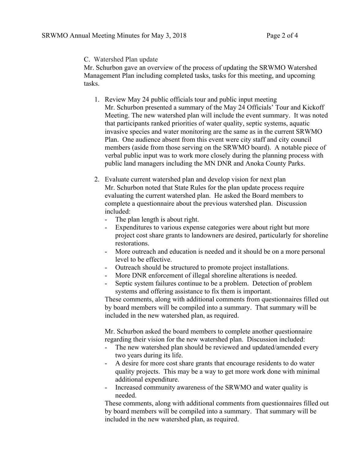### C. Watershed Plan update

Mr. Schurbon gave an overview of the process of updating the SRWMO Watershed Management Plan including completed tasks, tasks for this meeting, and upcoming tasks.

- 1. Review May 24 public officials tour and public input meeting Mr. Schurbon presented a summary of the May 24 Officials' Tour and Kickoff Meeting. The new watershed plan will include the event summary. It was noted that participants ranked priorities of water quality, septic systems, aquatic invasive species and water monitoring are the same as in the current SRWMO Plan. One audience absent from this event were city staff and city council members (aside from those serving on the SRWMO board). A notable piece of verbal public input was to work more closely during the planning process with public land managers including the MN DNR and Anoka County Parks.
- 2. Evaluate current watershed plan and develop vision for next plan Mr. Schurbon noted that State Rules for the plan update process require evaluating the current watershed plan. He asked the Board members to complete a questionnaire about the previous watershed plan. Discussion included: - The plan length is about right. - Expenditures to various expense categories were about right but more
	-
	- project cost share grants to landowners are desired, particularly for shoreline restorations.
	- More outreach and education is needed and it should be on a more personal level to be effective.
	- Outreach should be structured to promote project installations.
	- More DNR enforcement of illegal shoreline alterations is needed.
	- Septic system failures continue to be a problem. Detection of problem systems and offering assistance to fix them is important.

These comments, along with additional comments from questionnaires filled out by board members will be compiled into a summary. That summary will be included in the new watershed plan, as required.

Mr. Schurbon asked the board members to complete another questionnaire regarding their vision for the new watershed plan. Discussion included:

- The new watershed plan should be reviewed and updated/amended every two years during its life.
- A desire for more cost share grants that encourage residents to do water quality projects. This may be a way to get more work done with minimal additional expenditure.
- Increased community awareness of the SRWMO and water quality is needed.

These comments, along with additional comments from questionnaires filled out by board members will be compiled into a summary. That summary will be included in the new watershed plan, as required.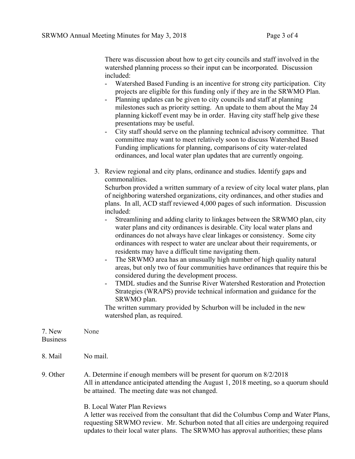There was discussion about how to get city councils and staff involved in the watershed planning process so their input can be incorporated. Discussion included:

- Watershed Based Funding is an incentive for strong city participation. City projects are eligible for this funding only if they are in the SRWMO Plan.
- Planning updates can be given to city councils and staff at planning milestones such as priority setting. An update to them about the May 24 planning kickoff event may be in order. Having city staff help give these presentations may be useful.
- City staff should serve on the planning technical advisory committee. That committee may want to meet relatively soon to discuss Watershed Based Funding implications for planning, comparisons of city water-related ordinances, and local water plan updates that are currently ongoing.
- 3. Review regional and city plans, ordinance and studies. Identify gaps and commonalities.

Schurbon provided a written summary of a review of city local water plans, plan of neighboring watershed organizations, city ordinances, and other studies and plans. In all, ACD staff reviewed 4,000 pages of such information. Discussion included:

- Streamlining and adding clarity to linkages between the SRWMO plan, city water plans and city ordinances is desirable. City local water plans and ordinances do not always have clear linkages or consistency. Some city ordinances with respect to water are unclear about their requirements, or residents may have a difficult time navigating them.
- The SRWMO area has an unusually high number of high quality natural areas, but only two of four communities have ordinances that require this be considered during the development process.
- TMDL studies and the Sunrise River Watershed Restoration and Protection Strategies (WRAPS) provide technical information and guidance for the SRWMO plan.

The written summary provided by Schurbon will be included in the new watershed plan, as required.

updates to their local water plans. The SRWMO has approval authorities; these plans

| 7. New<br><b>Business</b> | None                                                                                                                                                                                                               |
|---------------------------|--------------------------------------------------------------------------------------------------------------------------------------------------------------------------------------------------------------------|
| 8. Mail                   | No mail.                                                                                                                                                                                                           |
| 9. Other                  | A. Determine if enough members will be present for quorum on 8/2/2018<br>All in attendance anticipated attending the August 1, 2018 meeting, so a quorum should<br>be attained. The meeting date was not changed.  |
|                           | <b>B.</b> Local Water Plan Reviews<br>A letter was received from the consultant that did the Columbus Comp and Water Plans,<br>requesting SRWMO review. Mr. Schurbon noted that all cities are undergoing required |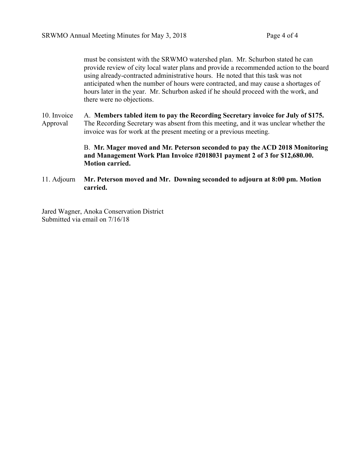must be consistent with the SRWMO watershed plan. Mr. Schurbon stated he can provide review of city local water plans and provide a recommended action to the board using already-contracted administrative hours. He noted that this task was not anticipated when the number of hours were contracted, and may cause a shortages of hours later in the year. Mr. Schurbon asked if he should proceed with the work, and there were no objections.

10. Invoice Approval A. **Members tabled item to pay the Recording Secretary invoice for July of \$175.**  The Recording Secretary was absent from this meeting, and it was unclear whether the invoice was for work at the present meeting or a previous meeting.

# B. **Mr. Mager moved and Mr. Peterson seconded to pay the ACD 2018 Monitoring and Management Work Plan Invoice #2018031 payment 2 of 3 for \$12,680.00. Motion carried.**

11. Adjourn **Mr. Peterson moved and Mr. Downing seconded to adjourn at 8:00 pm. Motion carried.**

Jared Wagner, Anoka Conservation District Submitted via email on 7/16/18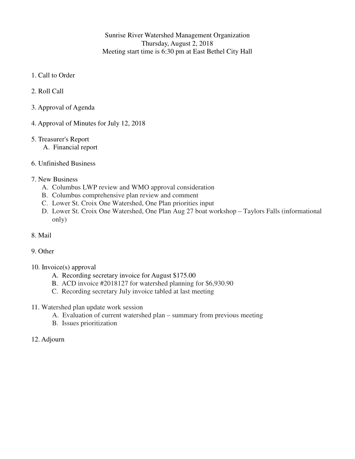Sunrise River Watershed Management Organization Thursday, August 2, 2018 Meeting start time is 6:30 pm at East Bethel City Hall

- 1. Call to Order
- 2. Roll Call
- 3. Approval of Agenda
- 4. Approval of Minutes for July 12, 2018
- 5. Treasurer's Report
	- A. Financial report
- 6. Unfinished Business

#### 7. New Business

- A. Columbus LWP review and WMO approval consideration
- B. Columbus comprehensive plan review and comment
- C. Lower St. Croix One Watershed, One Plan priorities input
- D. Lower St. Croix One Watershed, One Plan Aug 27 boat workshop Taylors Falls (informational only)
- 8. Mail

#### 9. Other

- 10. Invoice(s) approval
	- A. Recording secretary invoice for August \$175.00
	- B. ACD invoice #2018127 for watershed planning for \$6,930.90
	- C. Recording secretary July invoice tabled at last meeting
- 11. Watershed plan update work session
	- A. Evaluation of current watershed plan summary from previous meeting
	- B. Issues prioritization
- 12. Adjourn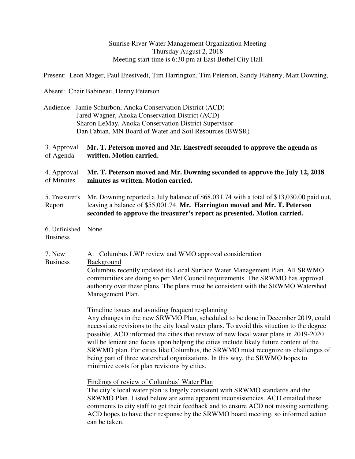#### Sunrise River Water Management Organization Meeting Thursday August 2, 2018 Meeting start time is 6:30 pm at East Bethel City Hall

Present: Leon Mager, Paul Enestvedt, Tim Harrington, Tim Peterson, Sandy Flaherty, Matt Downing,

Absent: Chair Babineau, Denny Peterson

 Audience: Jamie Schurbon, Anoka Conservation District (ACD) Jared Wagner, Anoka Conservation District (ACD) Sharon LeMay, Anoka Conservation District Supervisor Dan Fabian, MN Board of Water and Soil Resources (BWSR)

#### 3. Approval of Agenda **Mr. T. Peterson moved and Mr. Enestvedt seconded to approve the agenda as written. Motion carried.**

4. Approval of Minutes **Mr. T. Peterson moved and Mr. Downing seconded to approve the July 12, 2018 minutes as written. Motion carried.**

- 5. Treasurer's Report Mr. Downing reported a July balance of \$68,031.74 with a total of \$13,030.00 paid out, leaving a balance of \$55,001.74. **Mr. Harrington moved and Mr. T. Peterson seconded to approve the treasurer's report as presented. Motion carried.**
- 6. Unfinished None **Business**

#### 7. New Business A. Columbus LWP review and WMO approval consideration Background Columbus recently updated its Local Surface Water Management Plan. All SRWMO communities are doing so per Met Council requirements. The SRWMO has approval authority over these plans. The plans must be consistent with the SRWMO Watershed Management Plan.

Timeline issues and avoiding frequent re-planning Any changes in the new SRWMO Plan, scheduled to be done in December 2019, could necessitate revisions to the city local water plans. To avoid this situation to the degree possible, ACD informed the cities that review of new local water plans in 2019-2020 will be lenient and focus upon helping the cities include likely future content of the SRWMO plan. For cities like Columbus, the SRWMO must recognize its challenges of being part of three watershed organizations. In this way, the SRWMO hopes to minimize costs for plan revisions by cities.

Findings of review of Columbus' Water Plan

The city's local water plan is largely consistent with SRWMO standards and the SRWMO Plan. Listed below are some apparent inconsistencies. ACD emailed these comments to city staff to get their feedback and to ensure ACD not missing something. ACD hopes to have their response by the SRWMO board meeting, so informed action can be taken.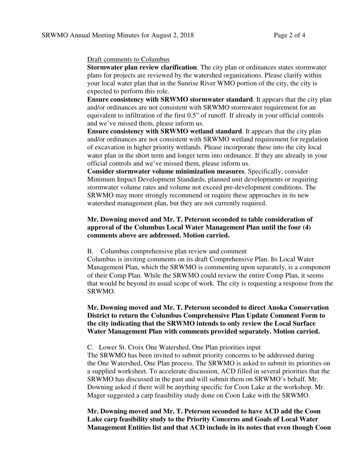#### Draft comments to Columbus

**Stormwater plan review clarification**. The city plan or ordinances states stormwater plans for projects are reviewed by the watershed organizations. Please clarify within your local water plan that in the Sunrise River WMO portion of the city, the city is expected to perform this role.

**Ensure consistency with SRWMO stormwater standard**. It appears that the city plan and/or ordinances are not consistent with SRWMO stormwater requirement for an equivalent to infiltration of the first 0.5" of runoff. If already in your official controls and we've missed them, please inform us.

**Ensure consistency with SRWMO wetland standard**. It appears that the city plan and/or ordinances are not consistent with SRWMO wetland requirement for regulation of excavation in higher priority wetlands. Please incorporate these into the city local water plan in the short term and longer term into ordinance. If they are already in your official controls and we've missed them, please inform us.

**Consider stormwater volume minimization measures**. Specifically, consider Minimum Impact Development Standards, planned unit developments or requiring stormwater volume rates and volume not exceed pre-development conditions. The SRWMO may more strongly recommend or require these approaches in its new watershed management plan, but they are not currently required.

## **Mr. Downing moved and Mr. T. Peterson seconded to table consideration of approval of the Columbus Local Water Management Plan until the four (4) comments above are addressed. Motion carried.**

#### B. Columbus comprehensive plan review and comment

Columbus is inviting comments on its draft Comprehensive Plan. Its Local Water Management Plan, which the SRWMO is commenting upon separately, is a component of their Comp Plan. While the SRWMO could review the entire Comp Plan, it seems that would be beyond its usual scope of work. The city is requesting a response from the SRWMO.

### **Mr. Downing moved and Mr. T. Peterson seconded to direct Anoka Conservation District to return the Columbus Comprehensive Plan Update Comment Form to the city indicating that the SRWMO intends to only review the Local Surface Water Management Plan with comments provided separately. Motion carried.**

#### C. Lower St. Croix One Watershed, One Plan priorities input

The SRWMO has been invited to submit priority concerns to be addressed during the One Watershed, One Plan process. The SRWMO is asked to submit its priorities on a supplied worksheet. To accelerate discussion, ACD filled in several priorities that the SRWMO has discussed in the past and will submit them on SRWMO's behalf. Mr. Downing asked if there will be anything specific for Coon Lake at the workshop. Mr. Mager suggested a carp feasibility study done on Coon Lake with the SRWMO.

**Mr. Downing moved and Mr. T. Peterson seconded to have ACD add the Coon Lake carp feasibility study to the Priority Concerns and Goals of Local Water Management Entities list and that ACD include in its notes that even though Coon**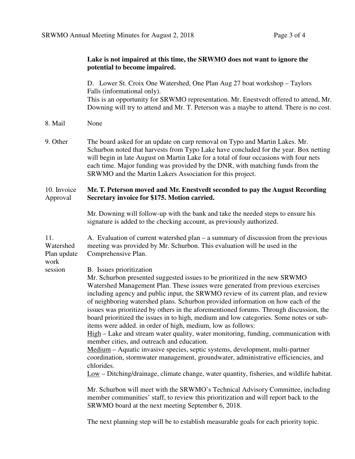#### **Lake is not impaired at this time, the SRWMO does not want to ignore the potential to become impaired.**

D. Lower St. Croix One Watershed, One Plan Aug 27 boat workshop – Taylors Falls (informational only). This is an opportunity for SRWMO representation. Mr. Enestvedt offered to attend, Mr. Downing will try to attend and Mr. T. Peterson was a maybe to attend. There is no cost.

- 8. Mail None
- 9. Other The board asked for an update on carp removal on Typo and Martin Lakes. Mr. Schurbon noted that harvests from Typo Lake have concluded for the year. Box netting will begin in late August on Martin Lake for a total of four occasions with four nets each time. Major funding was provided by the DNR, with matching funds from the SRWMO and the Martin Lakers Association for this project.

#### 10. Invoice Approval **Mr. T. Peterson moved and Mr. Enestvedt seconded to pay the August Recording Secretary invoice for \$175. Motion carried.**

Mr. Downing will follow-up with the bank and take the needed steps to ensure his signature is added to the checking account, as previously authorized.

11. Watershed Plan update A. Evaluation of current watershed plan – a summary of discussion from the previous meeting was provided by Mr. Schurbon. This evaluation will be used in the Comprehensive Plan.

work session

B. Issues prioritization

Mr. Schurbon presented suggested issues to be prioritized in the new SRWMO Watershed Management Plan. These issues were generated from previous exercises including agency and public input, the SRWMO review of its current plan, and review of neighboring watershed plans. Schurbon provided information on how each of the issues was prioritized by others in the aforementioned forums. Through discussion, the board prioritized the issues in to high, medium and low categories. Some notes or subitems were added. in order of high, medium, low as follows:

High – Lake and stream water quality, water monitoring, funding, communication with member cities, and outreach and education.

Medium – Aquatic invasive species, septic systems, development, multi-partner coordination, stormwater management, groundwater, administrative efficiencies, and chlorides.

Low – Ditching/drainage, climate change, water quantity, fisheries, and wildlife habitat.

Mr. Schurbon will meet with the SRWMO's Technical Advisory Committee, including member communities' staff, to review this prioritization and will report back to the SRWMO board at the next meeting September 6, 2018.

The next planning step will be to establish measurable goals for each priority topic.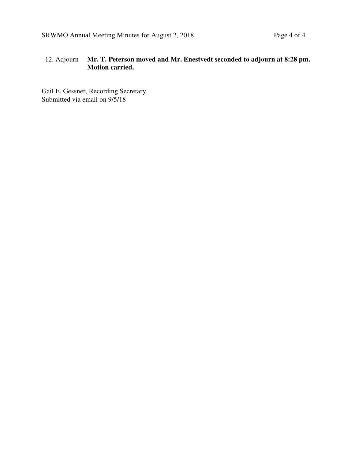# 12. Adjourn **Mr. T. Peterson moved and Mr. Enestvedt seconded to adjourn at 8:28 pm. Motion carried.**

Gail E. Gessner, Recording Secretary Submitted via email on 9/5/18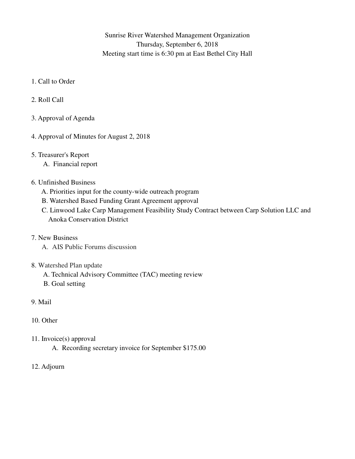Sunrise River Watershed Management Organization Thursday, September 6, 2018 Meeting start time is 6:30 pm at East Bethel City Hall

- 1. Call to Order
- 2. Roll Call
- 3. Approval of Agenda
- 4. Approval of Minutes for August 2, 2018
- 5. Treasurer's Report
	- A. Financial report

# 6. Unfinished Business

- A. Priorities input for the county-wide outreach program
- B. Watershed Based Funding Grant Agreement approval
- C. Linwood Lake Carp Management Feasibility Study Contract between Carp Solution LLC and Anoka Conservation District
- 7. New Business
	- A. AIS Public Forums discussion

# 8. Watershed Plan update

- A. Technical Advisory Committee (TAC) meeting review
- B. Goal setting
- 9. Mail
- 10. Other
- 11. Invoice(s) approval
	- A. Recording secretary invoice for September \$175.00
- 12. Adjourn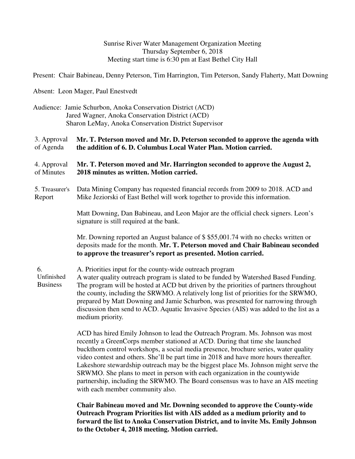Sunrise River Water Management Organization Meeting Thursday September 6, 2018 Meeting start time is 6:30 pm at East Bethel City Hall

Present: Chair Babineau, Denny Peterson, Tim Harrington, Tim Peterson, Sandy Flaherty, Matt Downing

Absent: Leon Mager, Paul Enestvedt

 Audience: Jamie Schurbon, Anoka Conservation District (ACD) Jared Wagner, Anoka Conservation District (ACD) Sharon LeMay, Anoka Conservation District Supervisor

3. Approval of Agenda **Mr. T. Peterson moved and Mr. D. Peterson seconded to approve the agenda with the addition of 6. D. Columbus Local Water Plan. Motion carried.**

4. Approval of Minutes **Mr. T. Peterson moved and Mr. Harrington seconded to approve the August 2, 2018 minutes as written. Motion carried.**

5. Treasurer's Report Data Mining Company has requested financial records from 2009 to 2018. ACD and Mike Jeziorski of East Bethel will work together to provide this information.

> Matt Downing, Dan Babineau, and Leon Major are the official check signers. Leon's signature is still required at the bank.

Mr. Downing reported an August balance of \$ \$55,001.74 with no checks written or deposits made for the month. **Mr. T. Peterson moved and Chair Babineau seconded to approve the treasurer's report as presented. Motion carried.** 

6. Unfinished Business A. Priorities input for the county-wide outreach program A water quality outreach program is slated to be funded by Watershed Based Funding. The program will be hosted at ACD but driven by the priorities of partners throughout the county, including the SRWMO. A relatively long list of priorities for the SRWMO, prepared by Matt Downing and Jamie Schurbon, was presented for narrowing through discussion then send to ACD. Aquatic Invasive Species (AIS) was added to the list as a medium priority.

> ACD has hired Emily Johnson to lead the Outreach Program. Ms. Johnson was most recently a GreenCorps member stationed at ACD. During that time she launched buckthorn control workshops, a social media presence, brochure series, water quality video contest and others. She'll be part time in 2018 and have more hours thereafter. Lakeshore stewardship outreach may be the biggest place Ms. Johnson might serve the SRWMO. She plans to meet in person with each organization in the countywide partnership, including the SRWMO. The Board consensus was to have an AIS meeting with each member community also.

> **Chair Babineau moved and Mr. Downing seconded to approve the County-wide Outreach Program Priorities list with AIS added as a medium priority and to forward the list to Anoka Conservation District, and to invite Ms. Emily Johnson to the October 4, 2018 meeting. Motion carried.**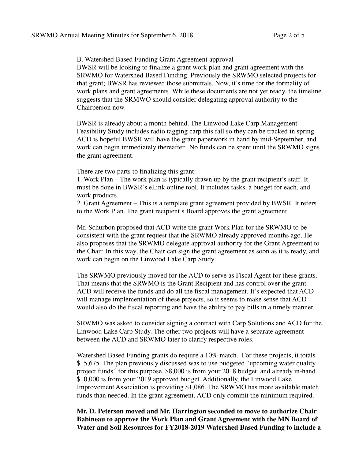B. Watershed Based Funding Grant Agreement approval

BWSR will be looking to finalize a grant work plan and grant agreement with the SRWMO for Watershed Based Funding. Previously the SRWMO selected projects for that grant; BWSR has reviewed those submittals. Now, it's time for the formality of work plans and grant agreements. While these documents are not yet ready, the timeline suggests that the SRMWO should consider delegating approval authority to the Chairperson now.

BWSR is already about a month behind. The Linwood Lake Carp Management Feasibility Study includes radio tagging carp this fall so they can be tracked in spring. ACD is hopeful BWSR will have the grant paperwork in hand by mid-September, and work can begin immediately thereafter. No funds can be spent until the SRWMO signs the grant agreement.

There are two parts to finalizing this grant:

1. Work Plan – The work plan is typically drawn up by the grant recipient's staff. It must be done in BWSR's eLink online tool. It includes tasks, a budget for each, and work products.

2. Grant Agreement – This is a template grant agreement provided by BWSR. It refers to the Work Plan. The grant recipient's Board approves the grant agreement.

Mr. Schurbon proposed that ACD write the grant Work Plan for the SRWMO to be consistent with the grant request that the SRWMO already approved months ago. He also proposes that the SRWMO delegate approval authority for the Grant Agreement to the Chair. In this way, the Chair can sign the grant agreement as soon as it is ready, and work can begin on the Linwood Lake Carp Study.

The SRWMO previously moved for the ACD to serve as Fiscal Agent for these grants. That means that the SRWMO is the Grant Recipient and has control over the grant. ACD will receive the funds and do all the fiscal management. It's expected that ACD will manage implementation of these projects, so it seems to make sense that ACD would also do the fiscal reporting and have the ability to pay bills in a timely manner.

SRWMO was asked to consider signing a contract with Carp Solutions and ACD for the Linwood Lake Carp Study. The other two projects will have a separate agreement between the ACD and SRWMO later to clarify respective roles.

Watershed Based Funding grants do require a 10% match. For these projects, it totals \$15,675. The plan previously discussed was to use budgeted "upcoming water quality project funds" for this purpose. \$8,000 is from your 2018 budget, and already in-hand. \$10,000 is from your 2019 approved budget. Additionally, the Linwood Lake Improvement Association is providing \$1,086. The SRWMO has more available match funds than needed. In the grant agreement, ACD only commit the minimum required.

**Mr. D. Peterson moved and Mr. Harrington seconded to move to authorize Chair Babineau to approve the Work Plan and Grant Agreement with the MN Board of Water and Soil Resources for FY2018-2019 Watershed Based Funding to include a**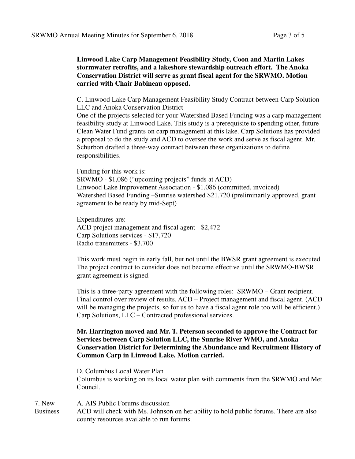### **Linwood Lake Carp Management Feasibility Study, Coon and Martin Lakes stormwater retrofits, and a lakeshore stewardship outreach effort. The Anoka Conservation District will serve as grant fiscal agent for the SRWMO. Motion carried with Chair Babineau opposed.**

C. Linwood Lake Carp Management Feasibility Study Contract between Carp Solution LLC and Anoka Conservation District

One of the projects selected for your Watershed Based Funding was a carp management feasibility study at Linwood Lake. This study is a prerequisite to spending other, future Clean Water Fund grants on carp management at this lake. Carp Solutions has provided a proposal to do the study and ACD to oversee the work and serve as fiscal agent. Mr. Schurbon drafted a three-way contract between these organizations to define responsibilities.

Funding for this work is:

SRWMO - \$1,086 ("upcoming projects" funds at ACD) Linwood Lake Improvement Association - \$1,086 (committed, invoiced) Watershed Based Funding –Sunrise watershed \$21,720 (preliminarily approved, grant agreement to be ready by mid-Sept)

Expenditures are: ACD project management and fiscal agent - \$2,472 Carp Solutions services - \$17,720 Radio transmitters - \$3,700

This work must begin in early fall, but not until the BWSR grant agreement is executed. The project contract to consider does not become effective until the SRWMO-BWSR grant agreement is signed.

This is a three-party agreement with the following roles: SRWMO – Grant recipient. Final control over review of results. ACD – Project management and fiscal agent. (ACD will be managing the projects, so for us to have a fiscal agent role too will be efficient.) Carp Solutions, LLC – Contracted professional services.

**Mr. Harrington moved and Mr. T. Peterson seconded to approve the Contract for Services between Carp Solution LLC, the Sunrise River WMO, and Anoka Conservation District for Determining the Abundance and Recruitment History of Common Carp in Linwood Lake. Motion carried.**

D. Columbus Local Water Plan

Columbus is working on its local water plan with comments from the SRWMO and Met Council.

7. New A. AIS Public Forums discussion

Business ACD will check with Ms. Johnson on her ability to hold public forums. There are also county resources available to run forums.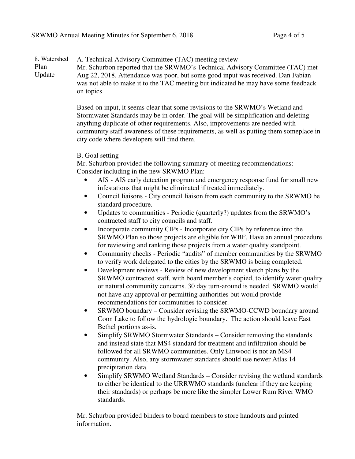#### 8. Watershed Plan Update A. Technical Advisory Committee (TAC) meeting review Mr. Schurbon reported that the SRWMO's Technical Advisory Committee (TAC) met Aug 22, 2018. Attendance was poor, but some good input was received. Dan Fabian was not able to make it to the TAC meeting but indicated he may have some feedback on topics.

Based on input, it seems clear that some revisions to the SRWMO's Wetland and Stormwater Standards may be in order. The goal will be simplification and deleting anything duplicate of other requirements. Also, improvements are needed with community staff awareness of these requirements, as well as putting them someplace in city code where developers will find them.

### B. Goal setting

Mr. Schurbon provided the following summary of meeting recommendations: Consider including in the new SRWMO Plan:

- AIS AIS early detection program and emergency response fund for small new infestations that might be eliminated if treated immediately.
- Council liaisons City council liaison from each community to the SRWMO be standard procedure.
- Updates to communities Periodic (quarterly?) updates from the SRWMO's contracted staff to city councils and staff.
- Incorporate community CIPs Incorporate city CIPs by reference into the SRWMO Plan so those projects are eligible for WBF. Have an annual procedure for reviewing and ranking those projects from a water quality standpoint.
- Community checks Periodic "audits" of member communities by the SRWMO to verify work delegated to the cities by the SRWMO is being completed.
- Development reviews Review of new development sketch plans by the SRWMO contracted staff, with board member's copied, to identify water quality or natural community concerns. 30 day turn-around is needed. SRWMO would not have any approval or permitting authorities but would provide recommendations for communities to consider.
- SRWMO boundary Consider revising the SRWMO-CCWD boundary around Coon Lake to follow the hydrologic boundary. The action should leave East Bethel portions as-is.
- Simplify SRWMO Stormwater Standards Consider removing the standards and instead state that MS4 standard for treatment and infiltration should be followed for all SRWMO communities. Only Linwood is not an MS4 community. Also, any stormwater standards should use newer Atlas 14 precipitation data.
- Simplify SRWMO Wetland Standards Consider revising the wetland standards to either be identical to the URRWMO standards (unclear if they are keeping their standards) or perhaps be more like the simpler Lower Rum River WMO standards.

Mr. Schurbon provided binders to board members to store handouts and printed information.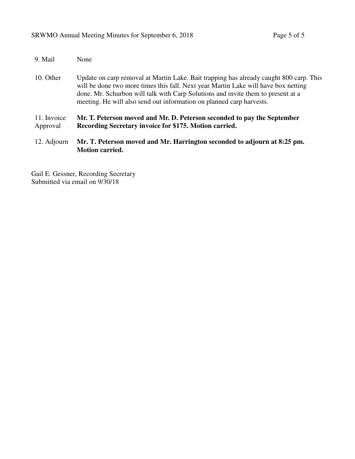| 9. Mail                 | None                                                                                                                                                                                                                                                                                                                                     |
|-------------------------|------------------------------------------------------------------------------------------------------------------------------------------------------------------------------------------------------------------------------------------------------------------------------------------------------------------------------------------|
| 10. Other               | Update on carp removal at Martin Lake. Bait trapping has already caught 800 carp. This<br>will be done two more times this fall. Next year Martin Lake will have box netting<br>done. Mr. Schurbon will talk with Carp Solutions and invite them to present at a<br>meeting. He will also send out information on planned carp harvests. |
| 11. Invoice<br>Approval | Mr. T. Peterson moved and Mr. D. Peterson seconded to pay the September<br>Recording Secretary invoice for \$175. Motion carried.                                                                                                                                                                                                        |
| 12. Adjourn             | Mr. T. Peterson moved and Mr. Harrington seconded to adjourn at 8:25 pm.<br><b>Motion carried.</b>                                                                                                                                                                                                                                       |

Gail E. Gessner, Recording Secretary Submitted via email on 9/30/18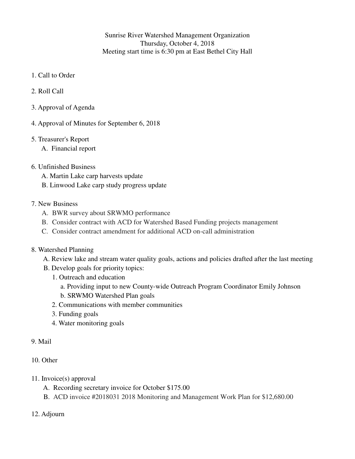Sunrise River Watershed Management Organization Thursday, October 4, 2018 Meeting start time is 6:30 pm at East Bethel City Hall

- 1. Call to Order
- 2. Roll Call
- 3. Approval of Agenda
- 4. Approval of Minutes for September 6, 2018
- 5. Treasurer's Report
	- A. Financial report

### 6. Unfinished Business

- A. Martin Lake carp harvests update
- B. Linwood Lake carp study progress update

## 7. New Business

- A. BWR survey about SRWMO performance
- B. Consider contract with ACD for Watershed Based Funding projects management
- C. Consider contract amendment for additional ACD on-call administration

#### 8. Watershed Planning

- A. Review lake and stream water quality goals, actions and policies drafted after the last meeting
- B. Develop goals for priority topics:
	- 1. Outreach and education
		- a. Providing input to new County-wide Outreach Program Coordinator Emily Johnson
		- b. SRWMO Watershed Plan goals
	- 2. Communications with member communities
	- 3. Funding goals
	- 4. Water monitoring goals

### 9. Mail

- 10. Other
- 11. Invoice(s) approval
	- A. Recording secretary invoice for October \$175.00
	- B. ACD invoice #2018031 2018 Monitoring and Management Work Plan for \$12,680.00
- 12. Adjourn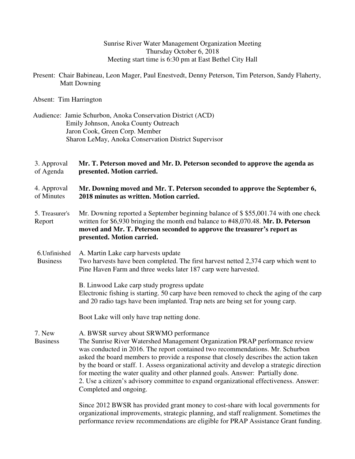Sunrise River Water Management Organization Meeting Thursday October 6, 2018 Meeting start time is 6:30 pm at East Bethel City Hall

 Present: Chair Babineau, Leon Mager, Paul Enestvedt, Denny Peterson, Tim Peterson, Sandy Flaherty, Matt Downing

Absent: Tim Harrington

 Audience: Jamie Schurbon, Anoka Conservation District (ACD) Emily Johnson, Anoka County Outreach Jaron Cook, Green Corp. Member Sharon LeMay, Anoka Conservation District Supervisor

3. Approval of Agenda **Mr. T. Peterson moved and Mr. D. Peterson seconded to approve the agenda as presented. Motion carried.**

- 4. Approval of Minutes **Mr. Downing moved and Mr. T. Peterson seconded to approve the September 6, 2018 minutes as written. Motion carried.**
- 5. Treasurer's Report Mr. Downing reported a September beginning balance of \$ \$55,001.74 with one check written for \$6,930 bringing the month end balance to #48,070.48. **Mr. D. Peterson moved and Mr. T. Peterson seconded to approve the treasurer's report as presented. Motion carried.**
- 6.Unfinished Business A. Martin Lake carp harvests update Two harvests have been completed. The first harvest netted 2,374 carp which went to Pine Haven Farm and three weeks later 187 carp were harvested.

B. Linwood Lake carp study progress update Electronic fishing is starting. 50 carp have been removed to check the aging of the carp and 20 radio tags have been implanted. Trap nets are being set for young carp.

Boot Lake will only have trap netting done.

7. New A. BWSR survey about SRWMO performance

Business The Sunrise River Watershed Management Organization PRAP performance review was conducted in 2016. The report contained two recommendations. Mr. Schurbon asked the board members to provide a response that closely describes the action taken by the board or staff. 1. Assess organizational activity and develop a strategic direction for meeting the water quality and other planned goals. Answer: Partially done. 2. Use a citizen's advisory committee to expand organizational effectiveness. Answer: Completed and ongoing.

> Since 2012 BWSR has provided grant money to cost-share with local governments for organizational improvements, strategic planning, and staff realignment. Sometimes the performance review recommendations are eligible for PRAP Assistance Grant funding.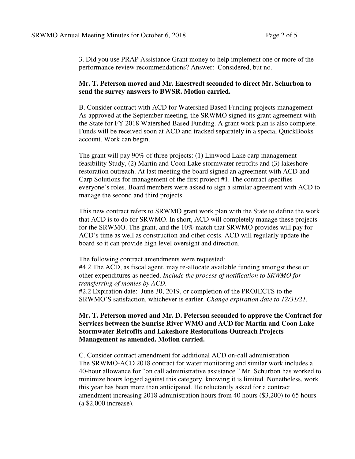3. Did you use PRAP Assistance Grant money to help implement one or more of the performance review recommendations? Answer: Considered, but no.

### **Mr. T. Peterson moved and Mr. Enestvedt seconded to direct Mr. Schurbon to send the survey answers to BWSR. Motion carried.**

B. Consider contract with ACD for Watershed Based Funding projects management As approved at the September meeting, the SRWMO signed its grant agreement with the State for FY 2018 Watershed Based Funding. A grant work plan is also complete. Funds will be received soon at ACD and tracked separately in a special QuickBooks account. Work can begin.

The grant will pay 90% of three projects: (1) Linwood Lake carp management feasibility Study, (2) Martin and Coon Lake stormwater retrofits and (3) lakeshore restoration outreach. At last meeting the board signed an agreement with ACD and Carp Solutions for management of the first project #1. The contract specifies everyone's roles. Board members were asked to sign a similar agreement with ACD to manage the second and third projects.

This new contract refers to SRWMO grant work plan with the State to define the work that ACD is to do for SRWMO. In short, ACD will completely manage these projects for the SRWMO. The grant, and the 10% match that SRWMO provides will pay for ACD's time as well as construction and other costs. ACD will regularly update the board so it can provide high level oversight and direction.

The following contract amendments were requested:

#4.2 The ACD, as fiscal agent, may re-allocate available funding amongst these or other expenditures as needed. *Include the process of notification to SRWMO for transferring of monies by ACD.*

#2.2 Expiration date: June 30, 2019, or completion of the PROJECTS to the SRWMO'S satisfaction, whichever is earlier. *Change expiration date to 12/31/21.* 

#### **Mr. T. Peterson moved and Mr. D. Peterson seconded to approve the Contract for Services between the Sunrise River WMO and ACD for Martin and Coon Lake Stormwater Retrofits and Lakeshore Restorations Outreach Projects Management as amended. Motion carried.**

C. Consider contract amendment for additional ACD on-call administration The SRWMO-ACD 2018 contract for water monitoring and similar work includes a 40-hour allowance for "on call administrative assistance." Mr. Schurbon has worked to minimize hours logged against this category, knowing it is limited. Nonetheless, work this year has been more than anticipated. He reluctantly asked for a contract amendment increasing 2018 administration hours from 40 hours (\$3,200) to 65 hours (a \$2,000 increase).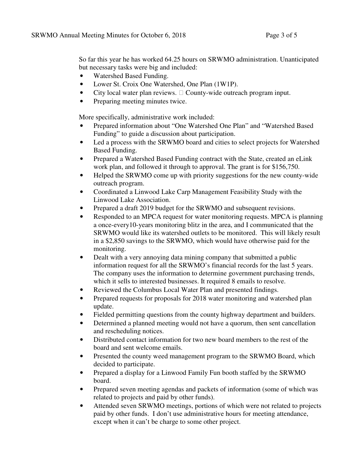So far this year he has worked 64.25 hours on SRWMO administration. Unanticipated but necessary tasks were big and included:

- Watershed Based Funding.
- Lower St. Croix One Watershed, One Plan (1W1P).
- City local water plan reviews. County-wide outreach program input.
- Preparing meeting minutes twice.

More specifically, administrative work included:

- Prepared information about "One Watershed One Plan" and "Watershed Based Funding" to guide a discussion about participation.
- Led a process with the SRWMO board and cities to select projects for Watershed Based Funding.
- Prepared a Watershed Based Funding contract with the State, created an eLink work plan, and followed it through to approval. The grant is for \$156,750.
- Helped the SRWMO come up with priority suggestions for the new county-wide outreach program.
- Coordinated a Linwood Lake Carp Management Feasibility Study with the Linwood Lake Association.
- Prepared a draft 2019 budget for the SRWMO and subsequent revisions.
- Responded to an MPCA request for water monitoring requests. MPCA is planning a once-every10-years monitoring blitz in the area, and I communicated that the SRWMO would like its watershed outlets to be monitored. This will likely result in a \$2,850 savings to the SRWMO, which would have otherwise paid for the monitoring.
- Dealt with a very annoying data mining company that submitted a public information request for all the SRWMO's financial records for the last 5 years. The company uses the information to determine government purchasing trends, which it sells to interested businesses. It required 8 emails to resolve.
- Reviewed the Columbus Local Water Plan and presented findings.
- Prepared requests for proposals for 2018 water monitoring and watershed plan update.
- Fielded permitting questions from the county highway department and builders.
- Determined a planned meeting would not have a quorum, then sent cancellation and rescheduling notices.
- Distributed contact information for two new board members to the rest of the board and sent welcome emails.
- Presented the county weed management program to the SRWMO Board, which decided to participate.
- Prepared a display for a Linwood Family Fun booth staffed by the SRWMO board.
- Prepared seven meeting agendas and packets of information (some of which was related to projects and paid by other funds).
- Attended seven SRWMO meetings, portions of which were not related to projects paid by other funds. I don't use administrative hours for meeting attendance, except when it can't be charge to some other project.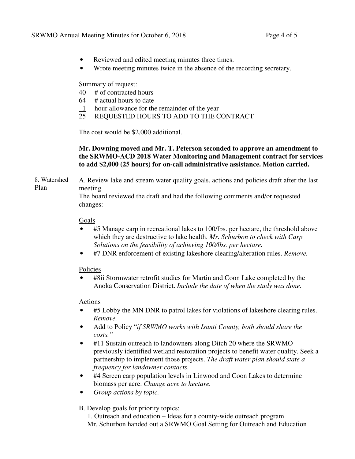- Reviewed and edited meeting minutes three times.
- Wrote meeting minutes twice in the absence of the recording secretary.

Summary of request:

- 40 # of contracted hours
- 64 # actual hours to date
- 1 hour allowance for the remainder of the year
- 25 REQUESTED HOURS TO ADD TO THE CONTRACT

The cost would be \$2,000 additional.

# **Mr. Downing moved and Mr. T. Peterson seconded to approve an amendment to the SRWMO-ACD 2018 Water Monitoring and Management contract for services to add \$2,000 (25 hours) for on-call administrative assistance. Motion carried.**

8. Watershed Plan A. Review lake and stream water quality goals, actions and policies draft after the last meeting.

> The board reviewed the draft and had the following comments and/or requested changes:

### Goals

- #5 Manage carp in recreational lakes to 100/lbs. per hectare, the threshold above which they are destructive to lake health. *Mr. Schurbon to check with Carp Solutions on the feasibility of achieving 100/lbs. per hectare.*
- #7 DNR enforcement of existing lakeshore clearing/alteration rules. *Remove.*

# Policies

• #8ii Stormwater retrofit studies for Martin and Coon Lake completed by the Anoka Conservation District. *Include the date of when the study was done.*

# Actions

- #5 Lobby the MN DNR to patrol lakes for violations of lakeshore clearing rules. *Remove.*
- Add to Policy "*if SRWMO works with Isanti County, both should share the costs."*
- #11 Sustain outreach to landowners along Ditch 20 where the SRWMO previously identified wetland restoration projects to benefit water quality. Seek a partnership to implement those projects. *The draft water plan should state a frequency for landowner contacts.*
- #4 Screen carp population levels in Linwood and Coon Lakes to determine biomass per acre. *Change acre to hectare.*
- *Group actions by topic.*
- B. Develop goals for priority topics:
	- 1. Outreach and education Ideas for a county-wide outreach program Mr. Schurbon handed out a SRWMO Goal Setting for Outreach and Education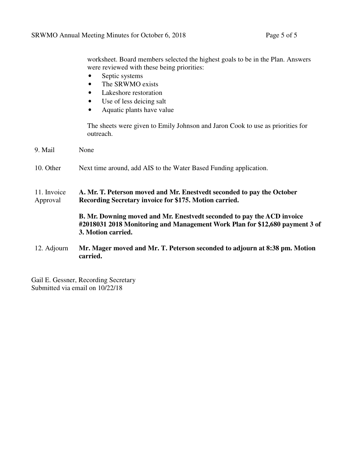worksheet. Board members selected the highest goals to be in the Plan. Answers were reviewed with these being priorities:

- Septic systems
- The SRWMO exists
- Lakeshore restoration
- Use of less deicing salt
- Aquatic plants have value

The sheets were given to Emily Johnson and Jaron Cook to use as priorities for outreach.

9. Mail None 10. Other Next time around, add AIS to the Water Based Funding application. 11. Invoice Approval **A. Mr. T. Peterson moved and Mr. Enestvedt seconded to pay the October Recording Secretary invoice for \$175. Motion carried. B. Mr. Downing moved and Mr. Enestvedt seconded to pay the ACD invoice #2018031 2018 Monitoring and Management Work Plan for \$12,680 payment 3 of 3. Motion carried.**  12. Adjourn **Mr. Mager moved and Mr. T. Peterson seconded to adjourn at 8:38 pm. Motion carried.** 

Gail E. Gessner, Recording Secretary Submitted via email on 10/22/18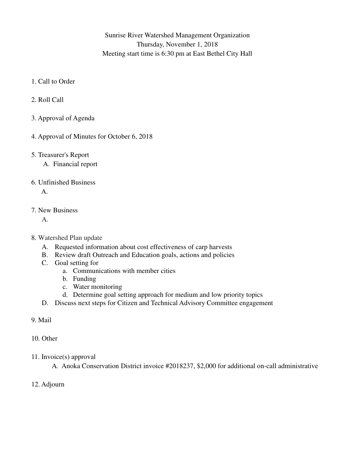Sunrise River Watershed Management Organization Thursday, November 1, 2018 Meeting start time is 6:30 pm at East Bethel City Hall

- 1. Call to Order
- 2. Roll Call
- 3. Approval of Agenda
- 4. Approval of Minutes for October 6, 2018
- 5. Treasurer's Report
	- A. Financial report
- 6. Unfinished Business

A.

7. New Business

A.

- 8. Watershed Plan update
	- A. Requested information about cost effectiveness of carp harvests
	- B. Review draft Outreach and Education goals, actions and policies
	- C. Goal setting for
		- a. Communications with member cities
		- b. Funding
		- c. Water monitoring
		- d. Determine goal setting approach for medium and low priority topics
	- D. Discuss next steps for Citizen and Technical Advisory Committee engagement
- 9. Mail
- 10. Other
- 11. Invoice(s) approval

A. Anoka Conservation District invoice #2018237, \$2,000 for additional on-call administrative

12. Adjourn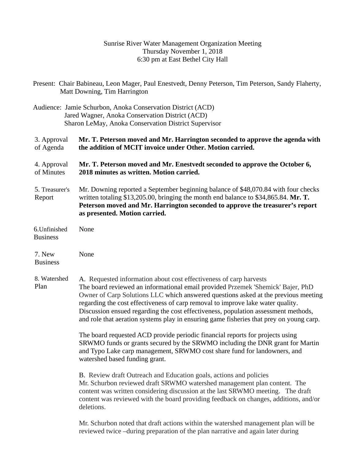# Sunrise River Water Management Organization Meeting Thursday November 1, 2018 6:30 pm at East Bethel City Hall

|                                  | Present: Chair Babineau, Leon Mager, Paul Enestvedt, Denny Peterson, Tim Peterson, Sandy Flaherty,<br>Matt Downing, Tim Harrington                                                                                                                                                                                                                                                                                                                                                                              |  |  |  |  |
|----------------------------------|-----------------------------------------------------------------------------------------------------------------------------------------------------------------------------------------------------------------------------------------------------------------------------------------------------------------------------------------------------------------------------------------------------------------------------------------------------------------------------------------------------------------|--|--|--|--|
|                                  | Audience: Jamie Schurbon, Anoka Conservation District (ACD)<br>Jared Wagner, Anoka Conservation District (ACD)<br>Sharon LeMay, Anoka Conservation District Supervisor                                                                                                                                                                                                                                                                                                                                          |  |  |  |  |
| 3. Approval<br>of Agenda         | Mr. T. Peterson moved and Mr. Harrington seconded to approve the agenda with<br>the addition of MCIT invoice under Other. Motion carried.                                                                                                                                                                                                                                                                                                                                                                       |  |  |  |  |
| 4. Approval<br>of Minutes        | Mr. T. Peterson moved and Mr. Enestvedt seconded to approve the October 6,<br>2018 minutes as written. Motion carried.                                                                                                                                                                                                                                                                                                                                                                                          |  |  |  |  |
| 5. Treasurer's<br>Report         | Mr. Downing reported a September beginning balance of \$48,070.84 with four checks<br>written totaling \$13,205.00, bringing the month end balance to \$34,865.84. Mr. T.<br>Peterson moved and Mr. Harrington seconded to approve the treasurer's report<br>as presented. Motion carried.                                                                                                                                                                                                                      |  |  |  |  |
| 6. Unfinished<br><b>Business</b> | None                                                                                                                                                                                                                                                                                                                                                                                                                                                                                                            |  |  |  |  |
| 7. New<br><b>Business</b>        | None                                                                                                                                                                                                                                                                                                                                                                                                                                                                                                            |  |  |  |  |
| 8. Watershed<br>Plan             | A. Requested information about cost effectiveness of carp harvests<br>The board reviewed an informational email provided Przemek 'Shemick' Bajer, PhD<br>Owner of Carp Solutions LLC which answered questions asked at the previous meeting<br>regarding the cost effectiveness of carp removal to improve lake water quality.<br>Discussion ensued regarding the cost effectiveness, population assessment methods,<br>and role that aeration systems play in ensuring game fisheries that prey on young carp. |  |  |  |  |
|                                  | The board requested ACD provide periodic financial reports for projects using<br>SRWMO funds or grants secured by the SRWMO including the DNR grant for Martin<br>and Typo Lake carp management, SRWMO cost share fund for landowners, and<br>watershed based funding grant.                                                                                                                                                                                                                                    |  |  |  |  |
|                                  | B. Review draft Outreach and Education goals, actions and policies<br>Mr. Schurbon reviewed draft SRWMO watershed management plan content. The<br>content was written considering discussion at the last SRWMO meeting. The draft<br>content was reviewed with the board providing feedback on changes, additions, and/or<br>deletions.                                                                                                                                                                         |  |  |  |  |
|                                  | Mr. Schurbon noted that draft actions within the watershed management plan will be<br>reviewed twice -during preparation of the plan narrative and again later during                                                                                                                                                                                                                                                                                                                                           |  |  |  |  |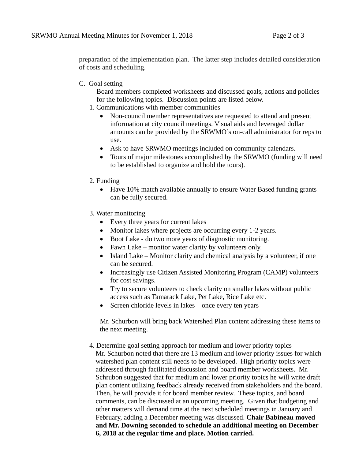preparation of the implementation plan. The latter step includes detailed consideration of costs and scheduling.

C. Goal setting

Board members completed worksheets and discussed goals, actions and policies for the following topics. Discussion points are listed below.

- 1. Communications with member communities
	- Non-council member representatives are requested to attend and present information at city council meetings. Visual aids and leveraged dollar amounts can be provided by the SRWMO's on-call administrator for reps to use.
	- Ask to have SRWMO meetings included on community calendars.
	- Tours of major milestones accomplished by the SRWMO (funding will need to be established to organize and hold the tours).
- 2. Funding
	- Have 10% match available annually to ensure Water Based funding grants can be fully secured.
- 3. Water monitoring
	- Every three years for current lakes
	- Monitor lakes where projects are occurring every 1-2 years.
	- Boot Lake do two more years of diagnostic monitoring.
	- Fawn Lake monitor water clarity by volunteers only.
	- Island Lake Monitor clarity and chemical analysis by a volunteer, if one can be secured.
	- Increasingly use Citizen Assisted Monitoring Program (CAMP) volunteers for cost savings.
	- Try to secure volunteers to check clarity on smaller lakes without public access such as Tamarack Lake, Pet Lake, Rice Lake etc.
	- $\bullet$  Screen chloride levels in lakes once every ten years

Mr. Schurbon will bring back Watershed Plan content addressing these items to the next meeting.

 4. Determine goal setting approach for medium and lower priority topics Mr. Schurbon noted that there are 13 medium and lower priority issues for which watershed plan content still needs to be developed. High priority topics were addressed through facilitated discussion and board member worksheets. Mr. Schrubon suggested that for medium and lower priority topics he will write draft plan content utilizing feedback already received from stakeholders and the board. Then, he will provide it for board member review. These topics, and board comments, can be discussed at an upcoming meeting. Given that budgeting and other matters will demand time at the next scheduled meetings in January and February, adding a December meeting was discussed. **Chair Babineau moved and Mr. Downing seconded to schedule an additional meeting on December 6, 2018 at the regular time and place. Motion carried.**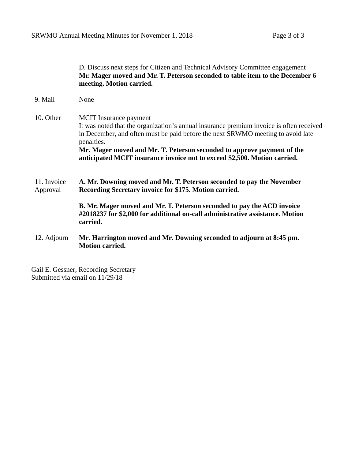|                         | D. Discuss next steps for Citizen and Technical Advisory Committee engagement<br>Mr. Mager moved and Mr. T. Peterson seconded to table item to the December 6<br>meeting. Motion carried.                                                                                                                                                                                        |
|-------------------------|----------------------------------------------------------------------------------------------------------------------------------------------------------------------------------------------------------------------------------------------------------------------------------------------------------------------------------------------------------------------------------|
| 9. Mail                 | None                                                                                                                                                                                                                                                                                                                                                                             |
| 10. Other               | <b>MCIT</b> Insurance payment<br>It was noted that the organization's annual insurance premium invoice is often received<br>in December, and often must be paid before the next SRWMO meeting to avoid late<br>penalties.<br>Mr. Mager moved and Mr. T. Peterson seconded to approve payment of the<br>anticipated MCIT insurance invoice not to exceed \$2,500. Motion carried. |
| 11. Invoice<br>Approval | A. Mr. Downing moved and Mr. T. Peterson seconded to pay the November<br>Recording Secretary invoice for \$175. Motion carried.                                                                                                                                                                                                                                                  |
|                         | B. Mr. Mager moved and Mr. T. Peterson seconded to pay the ACD invoice<br>#2018237 for \$2,000 for additional on-call administrative assistance. Motion<br>carried.                                                                                                                                                                                                              |
| 12. Adjourn             | Mr. Harrington moved and Mr. Downing seconded to adjourn at 8:45 pm.<br><b>Motion carried.</b>                                                                                                                                                                                                                                                                                   |

Gail E. Gessner, Recording Secretary Submitted via email on 11/29/18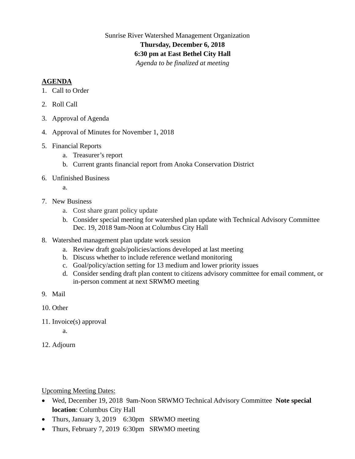# Sunrise River Watershed Management Organization **Thursday, December 6, 2018 6:30 pm at East Bethel City Hall**  *Agenda to be finalized at meeting*

### **AGENDA**

- 1. Call to Order
- 2. Roll Call
- 3. Approval of Agenda
- 4. Approval of Minutes for November 1, 2018
- 5. Financial Reports
	- a. Treasurer's report
	- b. Current grants financial report from Anoka Conservation District
- 6. Unfinished Business

a.

- 7. New Business
	- a. Cost share grant policy update
	- b. Consider special meeting for watershed plan update with Technical Advisory Committee Dec. 19, 2018 9am-Noon at Columbus City Hall
- 8. Watershed management plan update work session
	- a. Review draft goals/policies/actions developed at last meeting
	- b. Discuss whether to include reference wetland monitoring
	- c. Goal/policy/action setting for 13 medium and lower priority issues
	- d. Consider sending draft plan content to citizens advisory committee for email comment, or in-person comment at next SRWMO meeting
- 9. Mail
- 10. Other
- 11. Invoice(s) approval

a.

12. Adjourn

Upcoming Meeting Dates:

- Wed, December 19, 2018 9am-Noon SRWMO Technical Advisory Committee **Note special location**: Columbus City Hall
- Thurs, January 3, 2019 6:30pm SRWMO meeting
- Thurs, February 7, 2019 6:30pm SRWMO meeting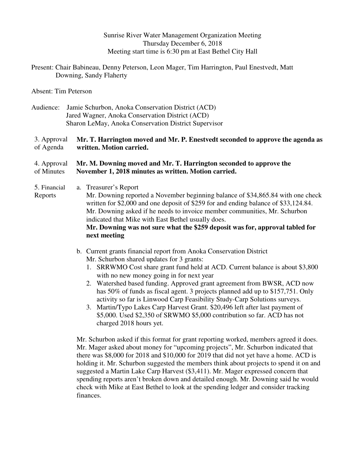Sunrise River Water Management Organization Meeting Thursday December 6, 2018 Meeting start time is 6:30 pm at East Bethel City Hall

Present: Chair Babineau, Denny Peterson, Leon Mager, Tim Harrington, Paul Enestvedt, Matt Downing, Sandy Flaherty

Absent: Tim Peterson

Audience: Jamie Schurbon, Anoka Conservation District (ACD) Jared Wagner, Anoka Conservation District (ACD) Sharon LeMay, Anoka Conservation District Supervisor

#### 3. Approval of Agenda **Mr. T. Harrington moved and Mr. P. Enestvedt seconded to approve the agenda as written. Motion carried.**

#### 4. Approval of Minutes **Mr. M. Downing moved and Mr. T. Harrington seconded to approve the November 1, 2018 minutes as written. Motion carried.**

- 5. Financial a. Treasurer's Report
- Reports Mr. Downing reported a November beginning balance of \$34,865.84 with one check written for \$2,000 and one deposit of \$259 for and ending balance of \$33,124.84. Mr. Downing asked if he needs to invoice member communities, Mr. Schurbon indicated that Mike with East Bethel usually does.

# **Mr. Downing was not sure what the \$259 deposit was for, approval tabled for next meeting**

- b. Current grants financial report from Anoka Conservation District Mr. Schurbon shared updates for 3 grants:
	- 1. SRRWMO Cost share grant fund held at ACD. Current balance is about \$3,800 with no new money going in for next year
	- 2. Watershed based funding. Approved grant agreement from BWSR, ACD now has 50% of funds as fiscal agent. 3 projects planned add up to \$157,751. Only activity so far is Linwood Carp Feasibility Study-Carp Solutions surveys.
	- 3. Martin/Typo Lakes Carp Harvest Grant. \$20,496 left after last payment of \$5,000. Used \$2,350 of SRWMO \$5,000 contribution so far. ACD has not charged 2018 hours yet.

Mr. Schurbon asked if this format for grant reporting worked, members agreed it does. Mr. Mager asked about money for "upcoming projects", Mr. Schurbon indicated that there was \$8,000 for 2018 and \$10,000 for 2019 that did not yet have a home. ACD is holding it. Mr. Schurbon suggested the members think about projects to spend it on and suggested a Martin Lake Carp Harvest (\$3,411). Mr. Mager expressed concern that spending reports aren't broken down and detailed enough. Mr. Downing said he would check with Mike at East Bethel to look at the spending ledger and consider tracking finances.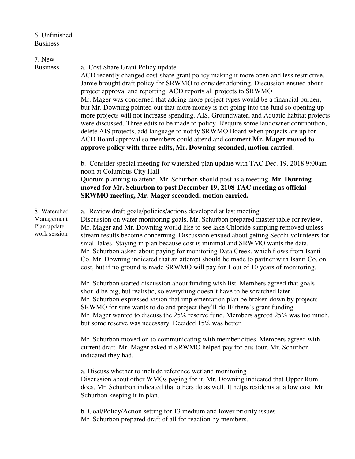6. Unfinished Business

| 7. New<br><b>Business</b>                                 | a. Cost Share Grant Policy update<br>ACD recently changed cost-share grant policy making it more open and less restrictive.<br>Jamie brought draft policy for SRWMO to consider adopting. Discussion ensued about<br>project approval and reporting. ACD reports all projects to SRWMO.<br>Mr. Mager was concerned that adding more project types would be a financial burden,<br>but Mr. Downing pointed out that more money is not going into the fund so opening up<br>more projects will not increase spending. AIS, Groundwater, and Aquatic habitat projects<br>were discussed. Three edits to be made to policy-Require some landowner contribution,<br>delete AIS projects, add language to notify SRWMO Board when projects are up for<br>ACD Board approval so members could attend and comment.Mr. Mager moved to<br>approve policy with three edits, Mr. Downing seconded, motion carried. |  |  |  |
|-----------------------------------------------------------|--------------------------------------------------------------------------------------------------------------------------------------------------------------------------------------------------------------------------------------------------------------------------------------------------------------------------------------------------------------------------------------------------------------------------------------------------------------------------------------------------------------------------------------------------------------------------------------------------------------------------------------------------------------------------------------------------------------------------------------------------------------------------------------------------------------------------------------------------------------------------------------------------------|--|--|--|
|                                                           | b. Consider special meeting for watershed plan update with TAC Dec. 19, 2018 9:00am-<br>noon at Columbus City Hall<br>Quorum planning to attend, Mr. Schurbon should post as a meeting. Mr. Downing<br>moved for Mr. Schurbon to post December 19, 2108 TAC meeting as official<br>SRWMO meeting, Mr. Mager seconded, motion carried.                                                                                                                                                                                                                                                                                                                                                                                                                                                                                                                                                                  |  |  |  |
| 8. Watershed<br>Management<br>Plan update<br>work session | a. Review draft goals/policies/actions developed at last meeting<br>Discussion on water monitoring goals, Mr. Schurbon prepared master table for review.<br>Mr. Mager and Mr. Downing would like to see lake Chloride sampling removed unless<br>stream results become concerning. Discussion ensued about getting Secchi volunteers for<br>small lakes. Staying in plan because cost is minimal and SRWMO wants the data.<br>Mr. Schurbon asked about paying for monitoring Data Creek, which flows from Isanti<br>Co. Mr. Downing indicated that an attempt should be made to partner with Isanti Co. on<br>cost, but if no ground is made SRWMO will pay for 1 out of 10 years of monitoring.                                                                                                                                                                                                       |  |  |  |
|                                                           | Mr. Schurbon started discussion about funding wish list. Members agreed that goals<br>should be big, but realistic, so everything doesn't have to be scratched later.<br>Mr. Schurbon expressed vision that implementation plan be broken down by projects<br>SRWMO for sure wants to do and project they'll do IF there's grant funding.<br>Mr. Mager wanted to discuss the $25\%$ reserve fund. Members agreed $25\%$ was too much,<br>but some reserve was necessary. Decided 15% was better.                                                                                                                                                                                                                                                                                                                                                                                                       |  |  |  |
|                                                           | Mr. Schurbon moved on to communicating with member cities. Members agreed with<br>current draft. Mr. Mager asked if SRWMO helped pay for bus tour. Mr. Schurbon<br>indicated they had.                                                                                                                                                                                                                                                                                                                                                                                                                                                                                                                                                                                                                                                                                                                 |  |  |  |
|                                                           | a. Discuss whether to include reference wetland monitoring<br>Discussion about other WMOs paying for it, Mr. Downing indicated that Upper Rum<br>does, Mr. Schurbon indicated that others do as well. It helps residents at a low cost. Mr.<br>Schurbon keeping it in plan.                                                                                                                                                                                                                                                                                                                                                                                                                                                                                                                                                                                                                            |  |  |  |

b. Goal/Policy/Action setting for 13 medium and lower priority issues Mr. Schurbon prepared draft of all for reaction by members.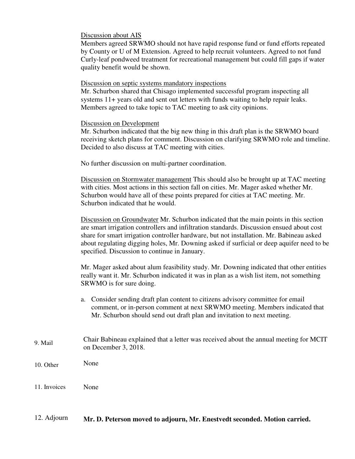#### Discussion about AIS

Members agreed SRWMO should not have rapid response fund or fund efforts repeated by County or U of M Extension. Agreed to help recruit volunteers. Agreed to not fund Curly-leaf pondweed treatment for recreational management but could fill gaps if water quality benefit would be shown.

#### Discussion on septic systems mandatory inspections

Mr. Schurbon shared that Chisago implemented successful program inspecting all systems 11+ years old and sent out letters with funds waiting to help repair leaks. Members agreed to take topic to TAC meeting to ask city opinions.

#### Discussion on Development

Mr. Schurbon indicated that the big new thing in this draft plan is the SRWMO board receiving sketch plans for comment. Discussion on clarifying SRWMO role and timeline. Decided to also discuss at TAC meeting with cities.

No further discussion on multi-partner coordination.

Discussion on Stormwater management This should also be brought up at TAC meeting with cities. Most actions in this section fall on cities. Mr. Mager asked whether Mr. Schurbon would have all of these points prepared for cities at TAC meeting. Mr. Schurbon indicated that he would.

Discussion on Groundwater Mr. Schurbon indicated that the main points in this section are smart irrigation controllers and infiltration standards. Discussion ensued about cost share for smart irrigation controller hardware, but not installation. Mr. Babineau asked about regulating digging holes, Mr. Downing asked if surficial or deep aquifer need to be specified. Discussion to continue in January.

Mr. Mager asked about alum feasibility study. Mr. Downing indicated that other entities really want it. Mr. Schurbon indicated it was in plan as a wish list item, not something SRWMO is for sure doing.

- a. Consider sending draft plan content to citizens advisory committee for email comment, or in-person comment at next SRWMO meeting. Members indicated that Mr. Schurbon should send out draft plan and invitation to next meeting.
- 9. Mail Chair Babineau explained that a letter was received about the annual meeting for MCIT on December 3, 2018.
- 10. Other None
- 11. Invoices None

#### 12. Adjourn **Mr. D. Peterson moved to adjourn, Mr. Enestvedt seconded. Motion carried.**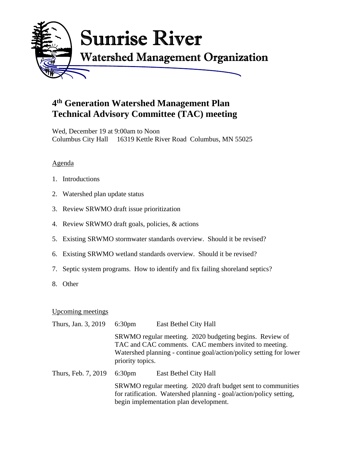

# **4th Generation Watershed Management Plan Technical Advisory Committee (TAC) meeting**

Wed, December 19 at 9:00am to Noon Columbus City Hall 16319 Kettle River Road Columbus, MN 55025

# Agenda

- 1. Introductions
- 2. Watershed plan update status
- 3. Review SRWMO draft issue prioritization
- 4. Review SRWMO draft goals, policies, & actions
- 5. Existing SRWMO stormwater standards overview. Should it be revised?
- 6. Existing SRWMO wetland standards overview. Should it be revised?
- 7. Septic system programs. How to identify and fix failing shoreland septics?
- 8. Other

# Upcoming meetings

| Thurs, Jan. 3, 2019 | 6:30 <sub>pm</sub>                                                                                                                                                                                         | East Bethel City Hall |  |  |
|---------------------|------------------------------------------------------------------------------------------------------------------------------------------------------------------------------------------------------------|-----------------------|--|--|
|                     | SRWMO regular meeting. 2020 budgeting begins. Review of<br>TAC and CAC comments. CAC members invited to meeting.<br>Watershed planning - continue goal/action/policy setting for lower<br>priority topics. |                       |  |  |
| Thurs, Feb. 7, 2019 | 6:30 <sub>pm</sub>                                                                                                                                                                                         | East Bethel City Hall |  |  |
|                     | SRWMO regular meeting. 2020 draft budget sent to communities<br>for ratification. Watershed planning - goal/action/policy setting,<br>begin implementation plan development.                               |                       |  |  |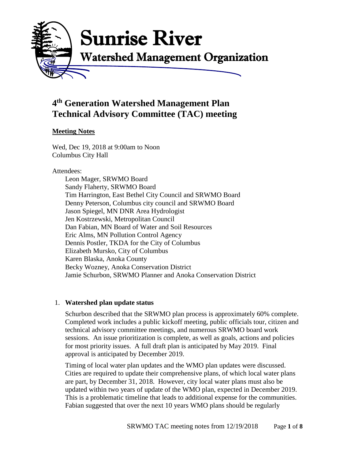

# **4 th Generation Watershed Management Plan Technical Advisory Committee (TAC) meeting**

# **Meeting Notes**

Wed, Dec 19, 2018 at 9:00am to Noon Columbus City Hall

### Attendees:

Leon Mager, SRWMO Board Sandy Flaherty, SRWMO Board Tim Harrington, East Bethel City Council and SRWMO Board Denny Peterson, Columbus city council and SRWMO Board Jason Spiegel, MN DNR Area Hydrologist Jen Kostrzewski, Metropolitan Council Dan Fabian, MN Board of Water and Soil Resources Eric Alms, MN Pollution Control Agency Dennis Postler, TKDA for the City of Columbus Elizabeth Mursko, City of Columbus Karen Blaska, Anoka County Becky Wozney, Anoka Conservation District Jamie Schurbon, SRWMO Planner and Anoka Conservation District

# 1. **Watershed plan update status**

Schurbon described that the SRWMO plan process is approximately 60% complete. Completed work includes a public kickoff meeting, public officials tour, citizen and technical advisory committee meetings, and numerous SRWMO board work sessions. An issue prioritization is complete, as well as goals, actions and policies for most priority issues. A full draft plan is anticipated by May 2019. Final approval is anticipated by December 2019.

Timing of local water plan updates and the WMO plan updates were discussed. Cities are required to update their comprehensive plans, of which local water plans are part, by December 31, 2018. However, city local water plans must also be updated within two years of update of the WMO plan, expected in December 2019. This is a problematic timeline that leads to additional expense for the communities. Fabian suggested that over the next 10 years WMO plans should be regularly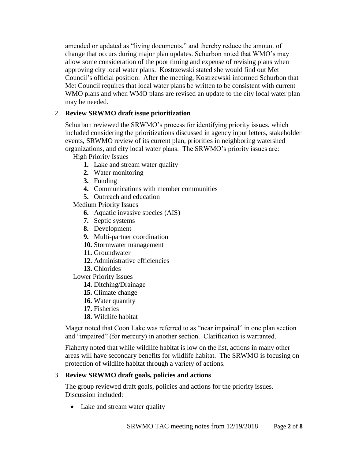amended or updated as "living documents," and thereby reduce the amount of change that occurs during major plan updates. Schurbon noted that WMO's may allow some consideration of the poor timing and expense of revising plans when approving city local water plans. Kostrzewski stated she would find out Met Council's official position. After the meeting, Kostrzewski informed Schurbon that Met Council requires that local water plans be written to be consistent with current WMO plans and when WMO plans are revised an update to the city local water plan may be needed.

# 2. **Review SRWMO draft issue prioritization**

Schurbon reviewed the SRWMO's process for identifying priority issues, which included considering the prioritizations discussed in agency input letters, stakeholder events, SRWMO review of its current plan, priorities in neighboring watershed organizations, and city local water plans. The SRWMO's priority issues are:

High Priority Issues

- **1.** Lake and stream water quality
- **2.** Water monitoring
- **3.** Funding
- **4.** Communications with member communities
- **5.** Outreach and education

Medium Priority Issues

- **6.** Aquatic invasive species (AIS)
- **7.** Septic systems
- **8.** Development
- **9.** Multi-partner coordination
- **10.** Stormwater management
- **11.** Groundwater
- **12.** Administrative efficiencies
- **13.** Chlorides

Lower Priority Issues

- **14.** Ditching/Drainage
- **15.** Climate change
- **16.** Water quantity
- **17.** Fisheries
- **18.** Wildlife habitat

Mager noted that Coon Lake was referred to as "near impaired" in one plan section and "impaired" (for mercury) in another section. Clarification is warranted.

Flaherty noted that while wildlife habitat is low on the list, actions in many other areas will have secondary benefits for wildlife habitat. The SRWMO is focusing on protection of wildlife habitat through a variety of actions.

#### 3. **Review SRWMO draft goals, policies and actions**

The group reviewed draft goals, policies and actions for the priority issues. Discussion included:

• Lake and stream water quality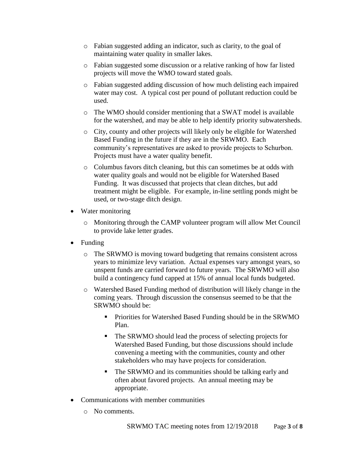- o Fabian suggested adding an indicator, such as clarity, to the goal of maintaining water quality in smaller lakes.
- o Fabian suggested some discussion or a relative ranking of how far listed projects will move the WMO toward stated goals.
- o Fabian suggested adding discussion of how much delisting each impaired water may cost. A typical cost per pound of pollutant reduction could be used.
- o The WMO should consider mentioning that a SWAT model is available for the watershed, and may be able to help identify priority subwatersheds.
- o City, county and other projects will likely only be eligible for Watershed Based Funding in the future if they are in the SRWMO. Each community's representatives are asked to provide projects to Schurbon. Projects must have a water quality benefit.
- o Columbus favors ditch cleaning, but this can sometimes be at odds with water quality goals and would not be eligible for Watershed Based Funding. It was discussed that projects that clean ditches, but add treatment might be eligible. For example, in-line settling ponds might be used, or two-stage ditch design.
- Water monitoring
	- o Monitoring through the CAMP volunteer program will allow Met Council to provide lake letter grades.
- Funding
	- o The SRWMO is moving toward budgeting that remains consistent across years to minimize levy variation. Actual expenses vary amongst years, so unspent funds are carried forward to future years. The SRWMO will also build a contingency fund capped at 15% of annual local funds budgeted.
	- o Watershed Based Funding method of distribution will likely change in the coming years. Through discussion the consensus seemed to be that the SRWMO should be:
		- **Priorities for Watershed Based Funding should be in the SRWMO** Plan.
		- The SRWMO should lead the process of selecting projects for Watershed Based Funding, but those discussions should include convening a meeting with the communities, county and other stakeholders who may have projects for consideration.
		- The SRWMO and its communities should be talking early and often about favored projects. An annual meeting may be appropriate.
- Communications with member communities
	- o No comments.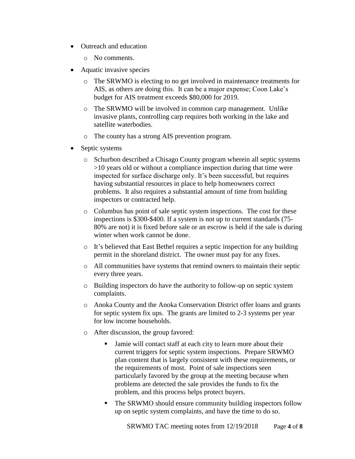- Outreach and education
	- o No comments.
- Aquatic invasive species
	- o The SRWMO is electing to no get involved in maintenance treatments for AIS, as others are doing this. It can be a major expense; Coon Lake's budget for AIS treatment exceeds \$80,000 for 2019.
	- o The SRWMO will be involved in common carp management. Unlike invasive plants, controlling carp requires both working in the lake and satellite waterbodies.
	- o The county has a strong AIS prevention program.
- Septic systems
	- o Schurbon described a Chisago County program wherein all septic systems >10 years old or without a compliance inspection during that time were inspected for surface discharge only. It's been successful, but requires having substantial resources in place to help homeowners correct problems. It also requires a substantial amount of time from building inspectors or contracted help.
	- o Columbus has point of sale septic system inspections. The cost for these inspections is \$300-\$400. If a system is not up to current standards (75- 80% are not) it is fixed before sale or an escrow is held if the sale is during winter when work cannot be done.
	- o It's believed that East Bethel requires a septic inspection for any building permit in the shoreland district. The owner must pay for any fixes.
	- o All communities have systems that remind owners to maintain their septic every three years.
	- o Building inspectors do have the authority to follow-up on septic system complaints.
	- o Anoka County and the Anoka Conservation District offer loans and grants for septic system fix ups. The grants are limited to 2-3 systems per year for low income households.
	- o After discussion, the group favored:
		- If Jamie will contact staff at each city to learn more about their current triggers for septic system inspections. Prepare SRWMO plan content that is largely consistent with these requirements, or the requirements of most. Point of sale inspections seen particularly favored by the group at the meeting because when problems are detected the sale provides the funds to fix the problem, and this process helps protect buyers.
		- The SRWMO should ensure community building inspectors follow up on septic system complaints, and have the time to do so.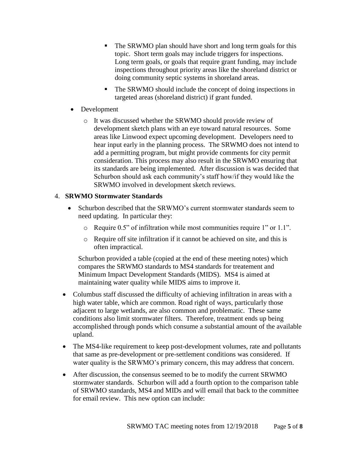- The SRWMO plan should have short and long term goals for this topic. Short term goals may include triggers for inspections. Long term goals, or goals that require grant funding, may include inspections throughout priority areas like the shoreland district or doing community septic systems in shoreland areas.
- The SRWMO should include the concept of doing inspections in targeted areas (shoreland district) if grant funded.
- Development
	- o It was discussed whether the SRWMO should provide review of development sketch plans with an eye toward natural resources. Some areas like Linwood expect upcoming development. Developers need to hear input early in the planning process. The SRWMO does not intend to add a permitting program, but might provide comments for city permit consideration. This process may also result in the SRWMO ensuring that its standards are being implemented. After discussion is was decided that Schurbon should ask each community's staff how/if they would like the SRWMO involved in development sketch reviews.

# 4. **SRWMO Stormwater Standards**

- Schurbon described that the SRWMO's current stormwater standards seem to need updating. In particular they:
	- o Require 0.5" of infiltration while most communities require 1" or 1.1".
	- o Require off site infiltration if it cannot be achieved on site, and this is often impractical.

Schurbon provided a table (copied at the end of these meeting notes) which compares the SRWMO standards to MS4 standards for treatement and Minimum Impact Development Standards (MIDS). MS4 is aimed at maintaining water quality while MIDS aims to improve it.

- Columbus staff discussed the difficulty of achieving infiltration in areas with a high water table, which are common. Road right of ways, particularly those adjacent to large wetlands, are also common and problematic. These same conditions also limit stormwater filters. Therefore, treatment ends up being accomplished through ponds which consume a substantial amount of the available upland.
- The MS4-like requirement to keep post-development volumes, rate and pollutants that same as pre-development or pre-settlement conditions was considered. If water quality is the SRWMO's primary concern, this may address that concern.
- After discussion, the consensus seemed to be to modify the current SRWMO stormwater standards. Schurbon will add a fourth option to the comparison table of SRWMO standards, MS4 and MIDs and will email that back to the committee for email review. This new option can include: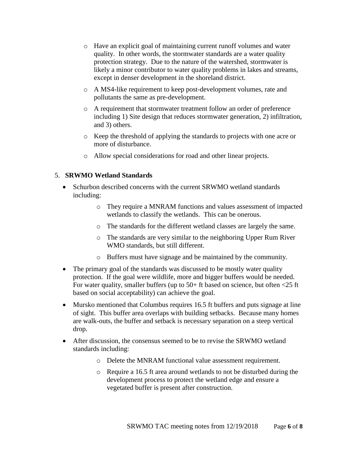- o Have an explicit goal of maintaining current runoff volumes and water quality. In other words, the stormwater standards are a water quality protection strategy. Due to the nature of the watershed, stormwater is likely a minor contributor to water quality problems in lakes and streams, except in denser development in the shoreland district.
- o A MS4-like requirement to keep post-development volumes, rate and pollutants the same as pre-development.
- o A requirement that stormwater treatment follow an order of preference including 1) Site design that reduces stormwater generation, 2) infiltration, and 3) others.
- o Keep the threshold of applying the standards to projects with one acre or more of disturbance.
- o Allow special considerations for road and other linear projects.

# 5. **SRWMO Wetland Standards**

- Schurbon described concerns with the current SRWMO wetland standards including:
	- o They require a MNRAM functions and values assessment of impacted wetlands to classify the wetlands. This can be onerous.
	- o The standards for the different wetland classes are largely the same.
	- o The standards are very similar to the neighboring Upper Rum River WMO standards, but still different.
	- o Buffers must have signage and be maintained by the community.
- The primary goal of the standards was discussed to be mostly water quality protection. If the goal were wildlife, more and bigger buffers would be needed. For water quality, smaller buffers (up to 50+ ft based on science, but often <25 ft based on social acceptability) can achieve the goal.
- Mursko mentioned that Columbus requires 16.5 ft buffers and puts signage at line of sight. This buffer area overlaps with building setbacks. Because many homes are walk-outs, the buffer and setback is necessary separation on a steep vertical drop.
- After discussion, the consensus seemed to be to revise the SRWMO wetland standards including:
	- o Delete the MNRAM functional value assessment requirement.
	- o Require a 16.5 ft area around wetlands to not be disturbed during the development process to protect the wetland edge and ensure a vegetated buffer is present after construction.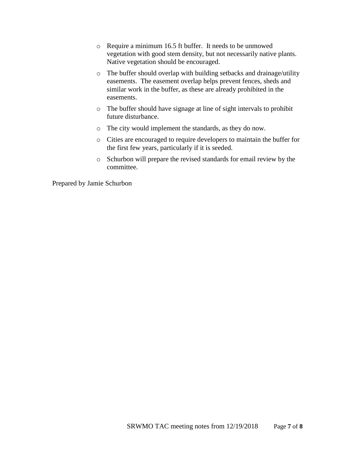- o Require a minimum 16.5 ft buffer. It needs to be unmowed vegetation with good stem density, but not necessarily native plants. Native vegetation should be encouraged.
- o The buffer should overlap with building setbacks and drainage/utility easements. The easement overlap helps prevent fences, sheds and similar work in the buffer, as these are already prohibited in the easements.
- o The buffer should have signage at line of sight intervals to prohibit future disturbance.
- o The city would implement the standards, as they do now.
- o Cities are encouraged to require developers to maintain the buffer for the first few years, particularly if it is seeded.
- o Schurbon will prepare the revised standards for email review by the committee.

Prepared by Jamie Schurbon